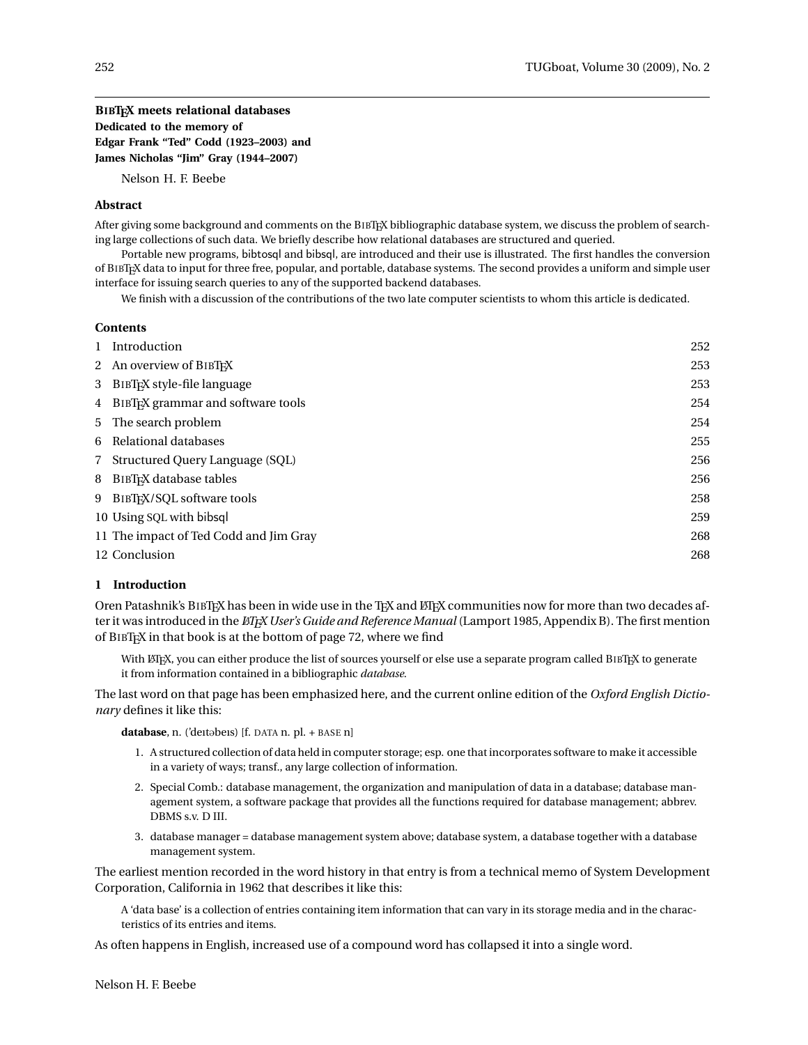# **BIBTEX meets relational databases Dedicated to the memory of Edgar Frank "Ted" Codd (1923–2003) and James Nicholas "Jim" Gray (1944–2007)**

Nelson H. F. Beebe

## **Abstract**

After giving some background and comments on the BIBTEX bibliographic database system, we discuss the problem of searching large collections of such data. We briefly describe how relational databases are structured and queried.

Portable new programs, bibtosql and bibsql, are introduced and their use is illustrated. The first handles the conversion of BIBTEX data to input for three free, popular, and portable, database systems. The second provides a uniform and simple user interface for issuing search queries to any of the supported backend databases.

We finish with a discussion of the contributions of the two late computer scientists to whom this article is dedicated.

#### **Contents**

| Introduction                                     | 252 |
|--------------------------------------------------|-----|
| 2 An overview of BIBTFX                          | 253 |
| 3 BIBT <sub>F</sub> X style-file language        | 253 |
| 4 BIBT <sub>F</sub> X grammar and software tools | 254 |
| 5 The search problem                             | 254 |
| 6 Relational databases                           | 255 |
| 7 Structured Query Language (SQL)                | 256 |
| 8 BIBT <sub>EX</sub> database tables             | 256 |
| 9 BIBTEX/SOL software tools                      | 258 |
| 10 Using SQL with bibsql                         | 259 |
| 11 The impact of Ted Codd and Jim Gray           | 268 |
| 12 Conclusion                                    | 268 |

#### **1 Introduction**

Oren Patashnik's BIBTEX has been in wide use in the TEX and ETEX communities now for more than two decades after it was introduced in the *EIFX User's Guide and Reference Manual* (Lamport 1985, Appendix B). The first mention of BIBTEX in that book is at the bottom of page 72, where we find

With LATEX, you can either produce the list of sources yourself or else use a separate program called BIBTEX to generate it from information contained in a bibliographic *database*.

The last word on that page has been emphasized here, and the current online edition of the *Oxford English Dictionary* defines it like this:

database, n. ('deitobeis) [f. DATA n. pl. + BASE n]

- 1. A structured collection of data held in computer storage; esp. one that incorporates software to make it accessible in a variety of ways; transf., any large collection of information.
- 2. Special Comb.: database management, the organization and manipulation of data in a database; database management system, a software package that provides all the functions required for database management; abbrev. DBMS s.v. D III.
- 3. database manager = database management system above; database system, a database together with a database management system.

The earliest mention recorded in the word history in that entry is from a technical memo of System Development Corporation, California in 1962 that describes it like this:

A 'data base' is a collection of entries containing item information that can vary in its storage media and in the characteristics of its entries and items.

As often happens in English, increased use of a compound word has collapsed it into a single word.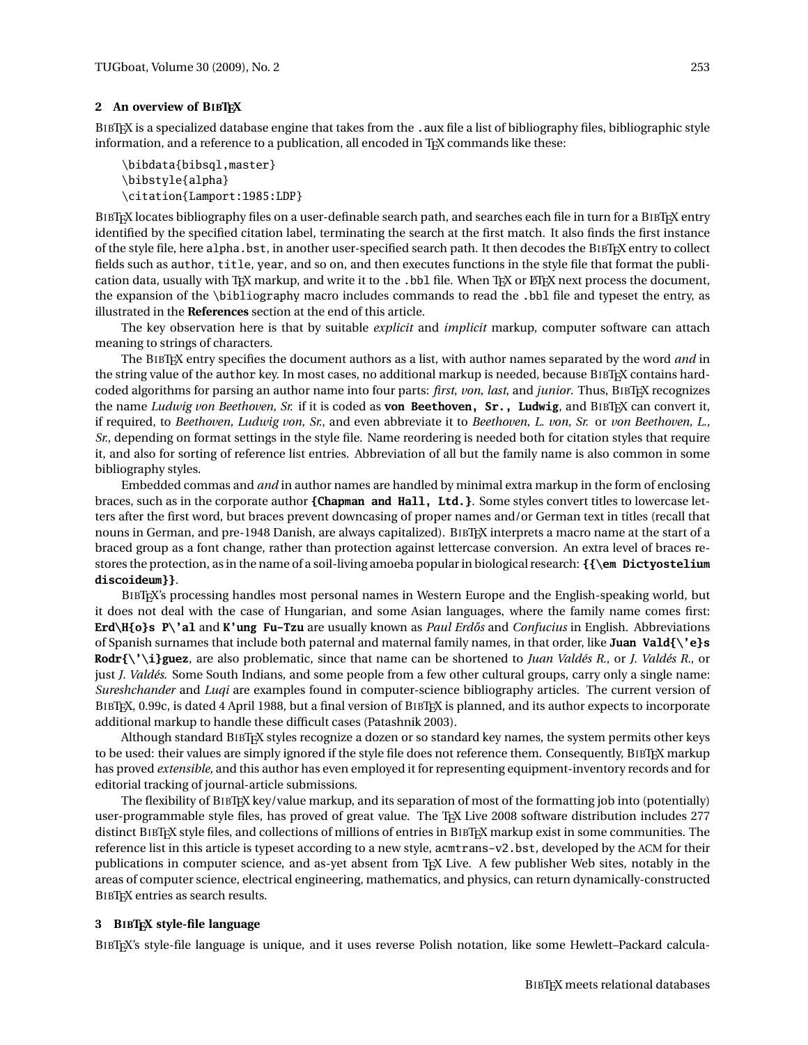### **2 An overview of BIBTEX**

BIBTEX is a specialized database engine that takes from the . aux file a list of bibliography files, bibliographic style information, and a reference to a publication, all encoded in T<sub>E</sub>X commands like these:

```
\bibdata{bibsql,master}
\bibstyle{alpha}
\citation{Lamport:1985:LDP}
```
BIBTEX locates bibliography files on a user-definable search path, and searches each file in turn for a BIBTEX entry identified by the specified citation label, terminating the search at the first match. It also finds the first instance of the style file, here alpha.bst, in another user-specified search path. It then decodes the BIBTEX entry to collect fields such as author, title, year, and so on, and then executes functions in the style file that format the publication data, usually with T<sub>E</sub>X markup, and write it to the .bbl file. When T<sub>E</sub>X or LT<sub>E</sub>X next process the document, the expansion of the \bibliography macro includes commands to read the .bbl file and typeset the entry, as illustrated in the **References** section at the end of this article.

The key observation here is that by suitable *explicit* and *implicit* markup, computer software can attach meaning to strings of characters.

The BIBTEX entry specifies the document authors as a list, with author names separated by the word *and* in the string value of the author key. In most cases, no additional markup is needed, because BIBTEX contains hardcoded algorithms for parsing an author name into four parts: *first*, *von*, *last*, and *junior*. Thus, BIBTEX recognizes the name *Ludwig von Beethoven, Sr.* if it is coded as **von Beethoven, Sr., Ludwig**, and BIBTEX can convert it, if required, to *Beethoven, Ludwig von, Sr.*, and even abbreviate it to *Beethoven, L. von, Sr.* or *von Beethoven, L., Sr.*, depending on format settings in the style file. Name reordering is needed both for citation styles that require it, and also for sorting of reference list entries. Abbreviation of all but the family name is also common in some bibliography styles.

Embedded commas and *and* in author names are handled by minimal extra markup in the form of enclosing braces, such as in the corporate author **{Chapman and Hall, Ltd.}**. Some styles convert titles to lowercase letters after the first word, but braces prevent downcasing of proper names and/or German text in titles (recall that nouns in German, and pre-1948 Danish, are always capitalized). BIBTEX interprets a macro name at the start of a braced group as a font change, rather than protection against lettercase conversion. An extra level of braces restores the protection, as in the name of a soil-living amoeba popular in biological research: **{{\em Dictyostelium discoideum}}**.

BIBTEX's processing handles most personal names in Western Europe and the English-speaking world, but it does not deal with the case of Hungarian, and some Asian languages, where the family name comes first: **Erd\H{o}s P\'al** and **K'ung Fu-Tzu** are usually known as *Paul Erd˝os* and *Confucius* in English. Abbreviations of Spanish surnames that include both paternal and maternal family names, in that order, like **Juan Vald{\'e}s Rodr{\'\i}guez**, are also problematic, since that name can be shortened to *Juan Valdés R.*, or *J. Valdés R.*, or just *J. Valdés*. Some South Indians, and some people from a few other cultural groups, carry only a single name: *Sureshchander* and *Luqi* are examples found in computer-science bibliography articles. The current version of BIBTEX, 0.99c, is dated 4 April 1988, but a final version of BIBTEX is planned, and its author expects to incorporate additional markup to handle these difficult cases (Patashnik 2003).

Although standard BIBTEX styles recognize a dozen or so standard key names, the system permits other keys to be used: their values are simply ignored if the style file does not reference them. Consequently, BIBTEX markup has proved *extensible*, and this author has even employed it for representing equipment-inventory records and for editorial tracking of journal-article submissions.

The flexibility of BIBTEX key/value markup, and its separation of most of the formatting job into (potentially) user-programmable style files, has proved of great value. The TEX Live 2008 software distribution includes 277 distinct BIBTEX style files, and collections of millions of entries in BIBTEX markup exist in some communities. The reference list in this article is typeset according to a new style, acmtrans-v2.bst, developed by the ACM for their publications in computer science, and as-yet absent from TEX Live. A few publisher Web sites, notably in the areas of computer science, electrical engineering, mathematics, and physics, can return dynamically-constructed BIBTEX entries as search results.

## **3 BIBTEX style-file language**

BIBTEX's style-file language is unique, and it uses reverse Polish notation, like some Hewlett–Packard calcula-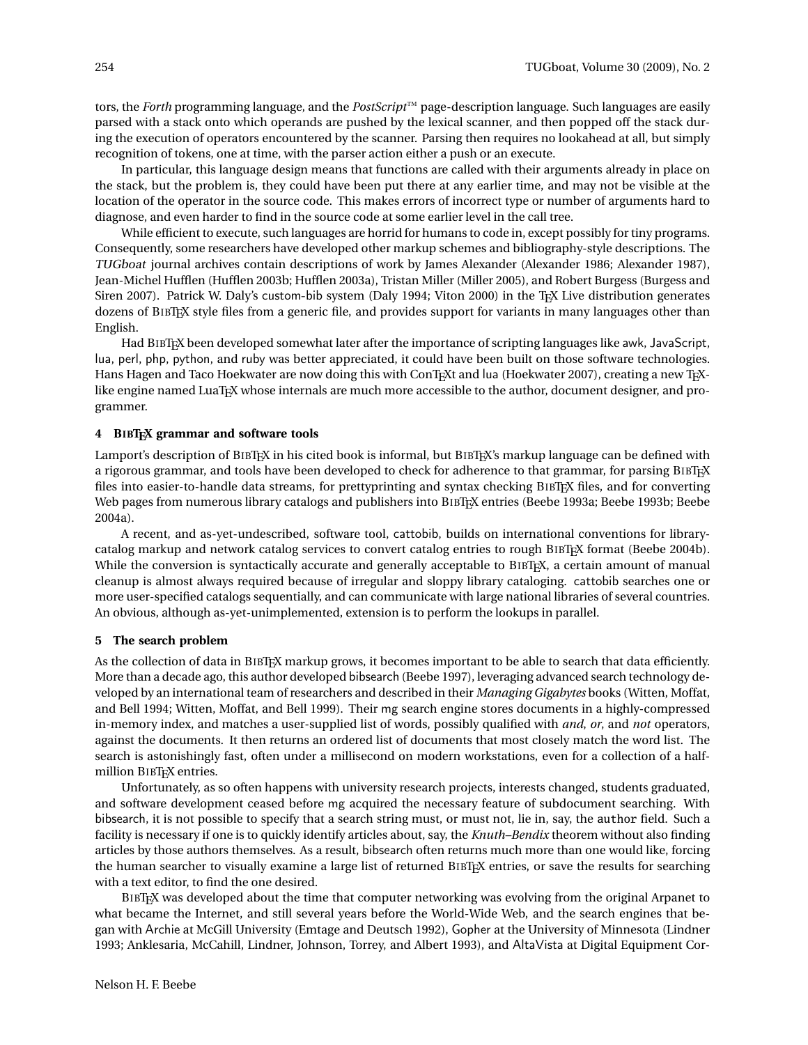tors, the *Forth* programming language, and the *PostScript*™ page-description language. Such languages are easily parsed with a stack onto which operands are pushed by the lexical scanner, and then popped off the stack during the execution of operators encountered by the scanner. Parsing then requires no lookahead at all, but simply recognition of tokens, one at time, with the parser action either a push or an execute.

In particular, this language design means that functions are called with their arguments already in place on the stack, but the problem is, they could have been put there at any earlier time, and may not be visible at the location of the operator in the source code. This makes errors of incorrect type or number of arguments hard to diagnose, and even harder to find in the source code at some earlier level in the call tree.

While efficient to execute, such languages are horrid for humans to code in, except possibly for tiny programs. Consequently, some researchers have developed other markup schemes and bibliography-style descriptions. The TUGboat journal archives contain descriptions of work by James Alexander (Alexander 1986; Alexander 1987), Jean-Michel Hufflen (Hufflen 2003b; Hufflen 2003a), Tristan Miller (Miller 2005), and Robert Burgess (Burgess and Siren 2007). Patrick W. Daly's custom-bib system (Daly 1994; Viton 2000) in the T<sub>EX</sub> Live distribution generates dozens of BIBTEX style files from a generic file, and provides support for variants in many languages other than English.

Had BIBTEX been developed somewhat later after the importance of scripting languages like awk, JavaScript, lua, perl, php, python, and ruby was better appreciated, it could have been built on those software technologies. Hans Hagen and Taco Hoekwater are now doing this with ConTEXt and lua (Hoekwater 2007), creating a new TEXlike engine named LuaT<sub>EX</sub> whose internals are much more accessible to the author, document designer, and programmer.

## **4 BIBTEX grammar and software tools**

Lamport's description of BIBTEX in his cited book is informal, but BIBTEX's markup language can be defined with a rigorous grammar, and tools have been developed to check for adherence to that grammar, for parsing BIBTFX files into easier-to-handle data streams, for prettyprinting and syntax checking BIBTEX files, and for converting Web pages from numerous library catalogs and publishers into BIBT<sub>EX</sub> entries (Beebe 1993a; Beebe 1993b; Beebe 2004a).

A recent, and as-yet-undescribed, software tool, cattobib, builds on international conventions for librarycatalog markup and network catalog services to convert catalog entries to rough BIBTEX format (Beebe 2004b). While the conversion is syntactically accurate and generally acceptable to BIBTEX, a certain amount of manual cleanup is almost always required because of irregular and sloppy library cataloging. cattobib searches one or more user-specified catalogs sequentially, and can communicate with large national libraries of several countries. An obvious, although as-yet-unimplemented, extension is to perform the lookups in parallel.

### **5 The search problem**

As the collection of data in BIBTEX markup grows, it becomes important to be able to search that data efficiently. More than a decade ago, this author developed bibsearch (Beebe 1997), leveraging advanced search technology developed by an international team of researchers and described in their *Managing Gigabytes* books (Witten, Moffat, and Bell 1994; Witten, Moffat, and Bell 1999). Their mg search engine stores documents in a highly-compressed in-memory index, and matches a user-supplied list of words, possibly qualified with *and*, *or*, and *not* operators, against the documents. It then returns an ordered list of documents that most closely match the word list. The search is astonishingly fast, often under a millisecond on modern workstations, even for a collection of a halfmillion BIBTEX entries.

Unfortunately, as so often happens with university research projects, interests changed, students graduated, and software development ceased before mg acquired the necessary feature of subdocument searching. With bibsearch, it is not possible to specify that a search string must, or must not, lie in, say, the author field. Such a facility is necessary if one is to quickly identify articles about, say, the *Knuth–Bendix* theorem without also finding articles by those authors themselves. As a result, bibsearch often returns much more than one would like, forcing the human searcher to visually examine a large list of returned BIBTEX entries, or save the results for searching with a text editor, to find the one desired.

BIBTEX was developed about the time that computer networking was evolving from the original Arpanet to what became the Internet, and still several years before the World-Wide Web, and the search engines that began with Archie at McGill University (Emtage and Deutsch 1992), Gopher at the University of Minnesota (Lindner 1993; Anklesaria, McCahill, Lindner, Johnson, Torrey, and Albert 1993), and AltaVista at Digital Equipment Cor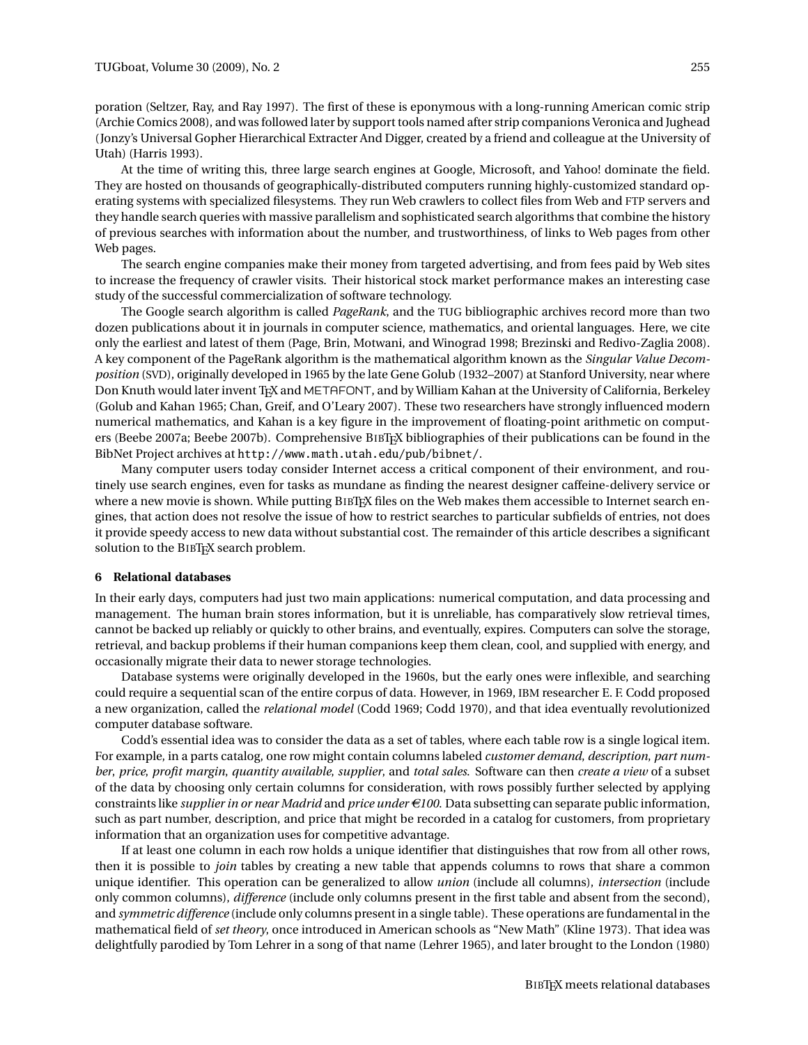poration (Seltzer, Ray, and Ray 1997). The first of these is eponymous with a long-running American comic strip (Archie Comics 2008), and was followed later by support tools named after strip companions Veronica and Jughead (Jonzy's Universal Gopher Hierarchical Extracter And Digger, created by a friend and colleague at the University of Utah) (Harris 1993).

At the time of writing this, three large search engines at Google, Microsoft, and Yahoo! dominate the field. They are hosted on thousands of geographically-distributed computers running highly-customized standard operating systems with specialized filesystems. They run Web crawlers to collect files from Web and FTP servers and they handle search queries with massive parallelism and sophisticated search algorithms that combine the history of previous searches with information about the number, and trustworthiness, of links to Web pages from other Web pages.

The search engine companies make their money from targeted advertising, and from fees paid by Web sites to increase the frequency of crawler visits. Their historical stock market performance makes an interesting case study of the successful commercialization of software technology.

The Google search algorithm is called *PageRank*, and the TUG bibliographic archives record more than two dozen publications about it in journals in computer science, mathematics, and oriental languages. Here, we cite only the earliest and latest of them (Page, Brin, Motwani, and Winograd 1998; Brezinski and Redivo-Zaglia 2008). A key component of the PageRank algorithm is the mathematical algorithm known as the *Singular Value Decomposition* (SVD), originally developed in 1965 by the late Gene Golub (1932–2007) at Stanford University, near where Don Knuth would later invent TFX and METAFONT, and by William Kahan at the University of California, Berkeley (Golub and Kahan 1965; Chan, Greif, and O'Leary 2007). These two researchers have strongly influenced modern numerical mathematics, and Kahan is a key figure in the improvement of floating-point arithmetic on computers (Beebe 2007a; Beebe 2007b). Comprehensive BIBTEX bibliographies of their publications can be found in the BibNet Project archives at http://www.math.utah.edu/pub/bibnet/.

Many computer users today consider Internet access a critical component of their environment, and routinely use search engines, even for tasks as mundane as finding the nearest designer caffeine-delivery service or where a new movie is shown. While putting BIBT<sub>EX</sub> files on the Web makes them accessible to Internet search engines, that action does not resolve the issue of how to restrict searches to particular subfields of entries, not does it provide speedy access to new data without substantial cost. The remainder of this article describes a significant solution to the BIBTEX search problem.

#### **6 Relational databases**

In their early days, computers had just two main applications: numerical computation, and data processing and management. The human brain stores information, but it is unreliable, has comparatively slow retrieval times, cannot be backed up reliably or quickly to other brains, and eventually, expires. Computers can solve the storage, retrieval, and backup problems if their human companions keep them clean, cool, and supplied with energy, and occasionally migrate their data to newer storage technologies.

Database systems were originally developed in the 1960s, but the early ones were inflexible, and searching could require a sequential scan of the entire corpus of data. However, in 1969, IBM researcher E. F. Codd proposed a new organization, called the *relational model* (Codd 1969; Codd 1970), and that idea eventually revolutionized computer database software.

Codd's essential idea was to consider the data as a set of tables, where each table row is a single logical item. For example, in a parts catalog, one row might contain columns labeled *customer demand*, *description*, *part number*, *price*, *profit margin*, *quantity available*, *supplier*, and *total sales*. Software can then *create a view* of a subset of the data by choosing only certain columns for consideration, with rows possibly further selected by applying constraints like *supplier in or near Madrid* and *price under*  $\epsilon$ 100. Data subsetting can separate public information, such as part number, description, and price that might be recorded in a catalog for customers, from proprietary information that an organization uses for competitive advantage.

If at least one column in each row holds a unique identifier that distinguishes that row from all other rows, then it is possible to *join* tables by creating a new table that appends columns to rows that share a common unique identifier. This operation can be generalized to allow *union* (include all columns), *intersection* (include only common columns), *difference* (include only columns present in the first table and absent from the second), and *symmetric difference* (include only columns present in a single table). These operations are fundamental in the mathematical field of *set theory*, once introduced in American schools as "New Math" (Kline 1973). That idea was delightfully parodied by Tom Lehrer in a song of that name (Lehrer 1965), and later brought to the London (1980)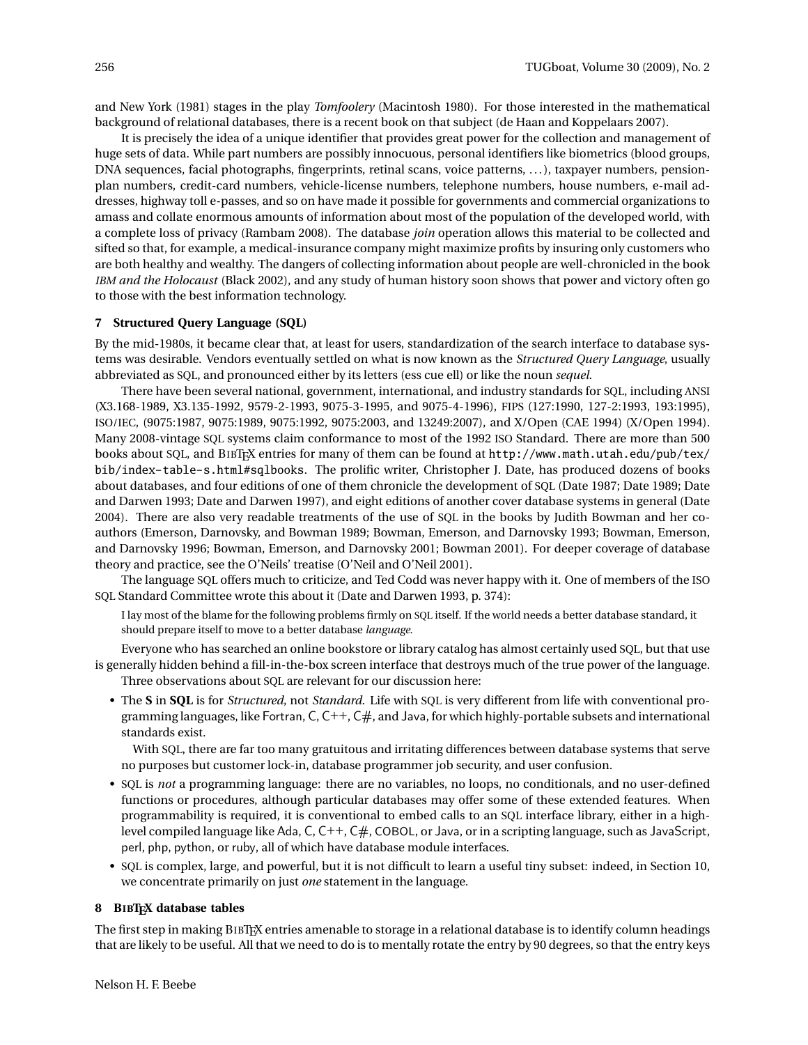and New York (1981) stages in the play *Tomfoolery* (Macintosh 1980). For those interested in the mathematical background of relational databases, there is a recent book on that subject (de Haan and Koppelaars 2007).

It is precisely the idea of a unique identifier that provides great power for the collection and management of huge sets of data. While part numbers are possibly innocuous, personal identifiers like biometrics (blood groups, DNA sequences, facial photographs, fingerprints, retinal scans, voice patterns, . . . ), taxpayer numbers, pensionplan numbers, credit-card numbers, vehicle-license numbers, telephone numbers, house numbers, e-mail addresses, highway toll e-passes, and so on have made it possible for governments and commercial organizations to amass and collate enormous amounts of information about most of the population of the developed world, with a complete loss of privacy (Rambam 2008). The database *join* operation allows this material to be collected and sifted so that, for example, a medical-insurance company might maximize profits by insuring only customers who are both healthy and wealthy. The dangers of collecting information about people are well-chronicled in the book *IBM and the Holocaust* (Black 2002), and any study of human history soon shows that power and victory often go to those with the best information technology.

### **7 Structured Query Language (SQL)**

By the mid-1980s, it became clear that, at least for users, standardization of the search interface to database systems was desirable. Vendors eventually settled on what is now known as the *Structured Query Language*, usually abbreviated as SQL, and pronounced either by its letters (ess cue ell) or like the noun *sequel*.

There have been several national, government, international, and industry standards for SQL, including ANSI (X3.168-1989, X3.135-1992, 9579-2-1993, 9075-3-1995, and 9075-4-1996), FIPS (127:1990, 127-2:1993, 193:1995), ISO/IEC, (9075:1987, 9075:1989, 9075:1992, 9075:2003, and 13249:2007), and X/Open (CAE 1994) (X/Open 1994). Many 2008-vintage SQL systems claim conformance to most of the 1992 ISO Standard. There are more than 500 books about SQL, and BIBTEX entries for many of them can be found at http://www.math.utah.edu/pub/tex/ bib/index-table-s.html#sqlbooks. The prolific writer, Christopher J. Date, has produced dozens of books about databases, and four editions of one of them chronicle the development of SQL (Date 1987; Date 1989; Date and Darwen 1993; Date and Darwen 1997), and eight editions of another cover database systems in general (Date 2004). There are also very readable treatments of the use of SQL in the books by Judith Bowman and her coauthors (Emerson, Darnovsky, and Bowman 1989; Bowman, Emerson, and Darnovsky 1993; Bowman, Emerson, and Darnovsky 1996; Bowman, Emerson, and Darnovsky 2001; Bowman 2001). For deeper coverage of database theory and practice, see the O'Neils' treatise (O'Neil and O'Neil 2001).

The language SQL offers much to criticize, and Ted Codd was never happy with it. One of members of the ISO SQL Standard Committee wrote this about it (Date and Darwen 1993, p. 374):

I lay most of the blame for the following problems firmly on SQL itself. If the world needs a better database standard, it should prepare itself to move to a better database *language*.

Everyone who has searched an online bookstore or library catalog has almost certainly used SQL, but that use is generally hidden behind a fill-in-the-box screen interface that destroys much of the true power of the language. Three observations about SQL are relevant for our discussion here:

• The **S** in **SQL** is for *Structured*, not *Standard*. Life with SQL is very different from life with conventional programming languages, like Fortran, C,  $C_{++}$ ,  $C_{+}$ , and Java, for which highly-portable subsets and international standards exist.

With SQL, there are far too many gratuitous and irritating differences between database systems that serve no purposes but customer lock-in, database programmer job security, and user confusion.

- SQL is *not* a programming language: there are no variables, no loops, no conditionals, and no user-defined functions or procedures, although particular databases may offer some of these extended features. When programmability is required, it is conventional to embed calls to an SQL interface library, either in a highlevel compiled language like Ada, C,  $C++$ ,  $C#$ , COBOL, or Java, or in a scripting language, such as JavaScript, perl, php, python, or ruby, all of which have database module interfaces.
- SQL is complex, large, and powerful, but it is not difficult to learn a useful tiny subset: indeed, in Section 10, we concentrate primarily on just *one* statement in the language.

#### **8 BIBTEX database tables**

The first step in making BIBTEX entries amenable to storage in a relational database is to identify column headings that are likely to be useful. All that we need to do is to mentally rotate the entry by 90 degrees, so that the entry keys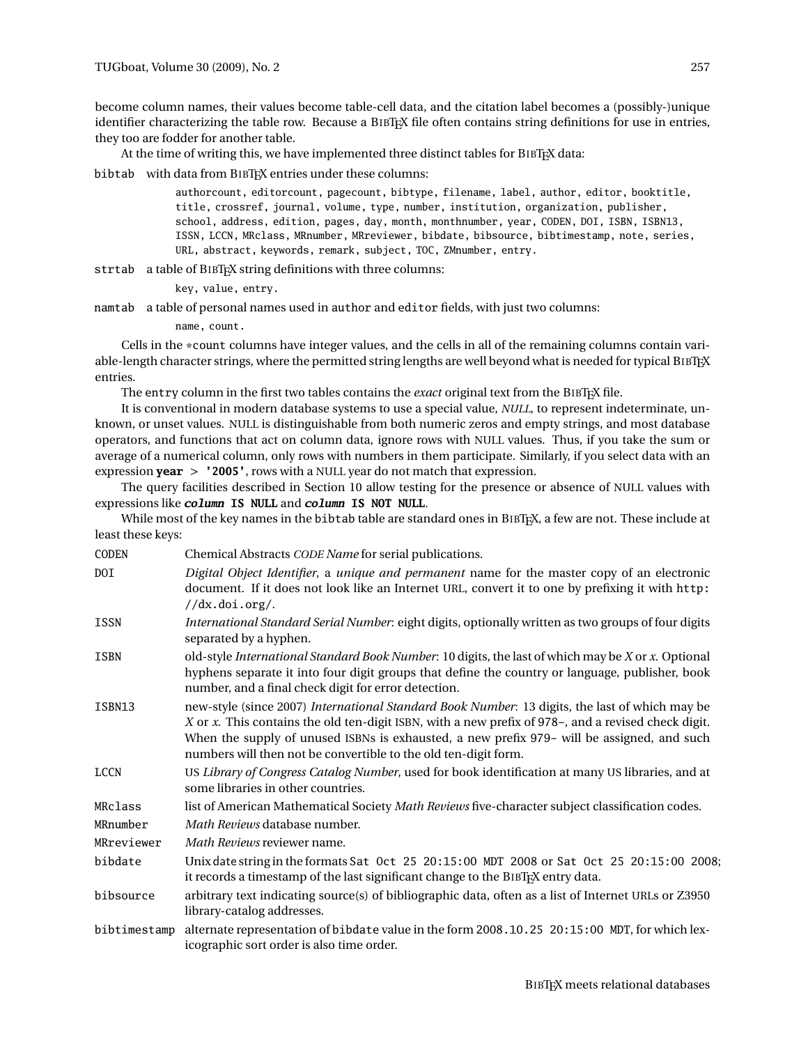become column names, their values become table-cell data, and the citation label becomes a (possibly-)unique identifier characterizing the table row. Because a BIBTEX file often contains string definitions for use in entries, they too are fodder for another table.

At the time of writing this, we have implemented three distinct tables for BIBTEX data:

bibtab with data from BIBT<sub>F</sub>X entries under these columns:

authorcount, editorcount, pagecount, bibtype, filename, label, author, editor, booktitle, title, crossref, journal, volume, type, number, institution, organization, publisher, school, address, edition, pages, day, month, monthnumber, year, CODEN, DOI, ISBN, ISBN13, ISSN, LCCN, MRclass, MRnumber, MRreviewer, bibdate, bibsource, bibtimestamp, note, series, URL, abstract, keywords, remark, subject, TOC, ZMnumber, entry.

strtab a table of BIBT<sub>F</sub>X string definitions with three columns:

key, value, entry.

namtab a table of personal names used in author and editor fields, with just two columns:

name, count.

Cells in the \*count columns have integer values, and the cells in all of the remaining columns contain variable-length character strings, where the permitted string lengths are well beyond what is needed for typical BIBTEX entries.

The entry column in the first two tables contains the *exact* original text from the BIBTEX file.

It is conventional in modern database systems to use a special value, *NULL*, to represent indeterminate, unknown, or unset values. NULL is distinguishable from both numeric zeros and empty strings, and most database operators, and functions that act on column data, ignore rows with NULL values. Thus, if you take the sum or average of a numerical column, only rows with numbers in them participate. Similarly, if you select data with an expression **year** > **'2005'**, rows with a NULL year do not match that expression.

The query facilities described in Section 10 allow testing for the presence or absence of NULL values with expressions like **column IS NULL** and **column IS NOT NULL**.

While most of the key names in the bibtab table are standard ones in BIBT<sub>F</sub>X, a few are not. These include at least these keys:

| CODEN        | Chemical Abstracts CODE Name for serial publications.                                                                                                                                                                                                                                                                                                                  |
|--------------|------------------------------------------------------------------------------------------------------------------------------------------------------------------------------------------------------------------------------------------------------------------------------------------------------------------------------------------------------------------------|
| DOI          | Digital Object Identifier, a unique and permanent name for the master copy of an electronic<br>document. If it does not look like an Internet URL, convert it to one by prefixing it with http:<br>//dx.doi.org/.                                                                                                                                                      |
| <b>ISSN</b>  | International Standard Serial Number: eight digits, optionally written as two groups of four digits<br>separated by a hyphen.                                                                                                                                                                                                                                          |
| <b>ISBN</b>  | old-style International Standard Book Number: 10 digits, the last of which may be X or x. Optional<br>hyphens separate it into four digit groups that define the country or language, publisher, book<br>number, and a final check digit for error detection.                                                                                                          |
| ISBN13       | new-style (since 2007) International Standard Book Number: 13 digits, the last of which may be<br>X or x. This contains the old ten-digit ISBN, with a new prefix of 978-, and a revised check digit.<br>When the supply of unused ISBNs is exhausted, a new prefix 979- will be assigned, and such<br>numbers will then not be convertible to the old ten-digit form. |
| <b>LCCN</b>  | US Library of Congress Catalog Number, used for book identification at many US libraries, and at<br>some libraries in other countries.                                                                                                                                                                                                                                 |
| MRclass      | list of American Mathematical Society Math Reviews five-character subject classification codes.                                                                                                                                                                                                                                                                        |
| MRnumber     | Math Reviews database number.                                                                                                                                                                                                                                                                                                                                          |
| MRreviewer   | <i>Math Reviews</i> reviewer name.                                                                                                                                                                                                                                                                                                                                     |
| bibdate      | Unix date string in the formats Sat Oct 25 20:15:00 MDT 2008 or Sat Oct 25 20:15:00 2008;<br>it records a timestamp of the last significant change to the BIBTFX entry data.                                                                                                                                                                                           |
| bibsource    | arbitrary text indicating source(s) of bibliographic data, often as a list of Internet URLs or Z3950<br>library-catalog addresses.                                                                                                                                                                                                                                     |
| bibtimestamp | alternate representation of bibdate value in the form 2008.10.25 20:15:00 MDT, for which lex-<br>icographic sort order is also time order.                                                                                                                                                                                                                             |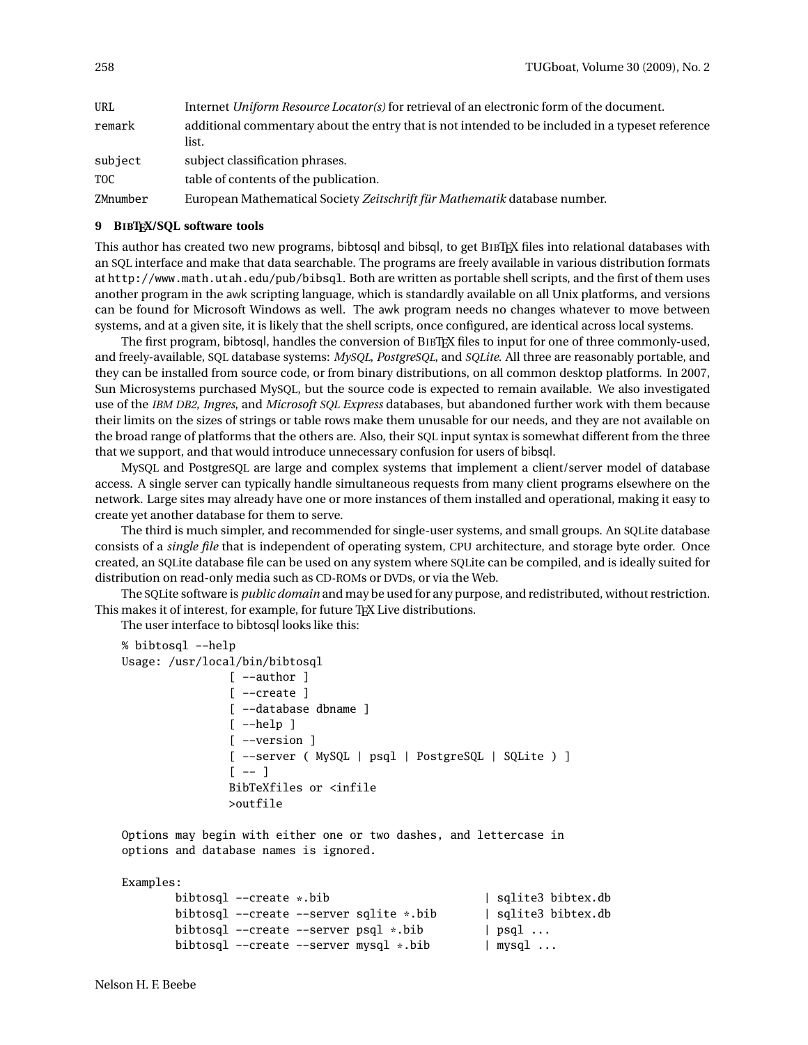| URL        | Internet Uniform Resource Locator(s) for retrieval of an electronic form of the document.                 |
|------------|-----------------------------------------------------------------------------------------------------------|
| remark     | additional commentary about the entry that is not intended to be included in a typeset reference<br>list. |
| subject    | subject classification phrases.                                                                           |
| <b>TOC</b> | table of contents of the publication.                                                                     |
| ZMnumber   | European Mathematical Society Zeitschrift für Mathematik database number.                                 |

## **9 BIBTEX/SQL software tools**

This author has created two new programs, bibtosql and bibsql, to get BIBTEX files into relational databases with an SQL interface and make that data searchable. The programs are freely available in various distribution formats at http://www.math.utah.edu/pub/bibsql. Both are written as portable shell scripts, and the first of them uses another program in the awk scripting language, which is standardly available on all Unix platforms, and versions can be found for Microsoft Windows as well. The awk program needs no changes whatever to move between systems, and at a given site, it is likely that the shell scripts, once configured, are identical across local systems.

The first program, bibtosql, handles the conversion of BIBTEX files to input for one of three commonly-used, and freely-available, SQL database systems: *MySQL*, *PostgreSQL*, and *SQLite*. All three are reasonably portable, and they can be installed from source code, or from binary distributions, on all common desktop platforms. In 2007, Sun Microsystems purchased MySQL, but the source code is expected to remain available. We also investigated use of the *IBM DB2*, *Ingres*, and *Microsoft SQL Express* databases, but abandoned further work with them because their limits on the sizes of strings or table rows make them unusable for our needs, and they are not available on the broad range of platforms that the others are. Also, their SQL input syntax is somewhat different from the three that we support, and that would introduce unnecessary confusion for users of bibsql.

MySQL and PostgreSQL are large and complex systems that implement a client/server model of database access. A single server can typically handle simultaneous requests from many client programs elsewhere on the network. Large sites may already have one or more instances of them installed and operational, making it easy to create yet another database for them to serve.

The third is much simpler, and recommended for single-user systems, and small groups. An SQLite database consists of a *single file* that is independent of operating system, CPU architecture, and storage byte order. Once created, an SQLite database file can be used on any system where SQLite can be compiled, and is ideally suited for distribution on read-only media such as CD-ROMs or DVDs, or via the Web.

The SQLite software is *public domain* and may be used for any purpose, and redistributed, without restriction. This makes it of interest, for example, for future TFX Live distributions.

The user interface to bibtosql looks like this:

```
% bibtosql --help
Usage: /usr/local/bin/bibtosql
                [ --author ]
                [ --create ]
                [ --database dbname ]
                [--help][ --version ]
                [ --server ( MySQL | psql | PostgreSQL | SQLite ) ]
                [- - 1]BibTeXfiles or <infile
                >outfile
```
Options may begin with either one or two dashes, and lettercase in options and database names is ignored.

#### Examples:

| bibtosgl --create *.bib                   | sqlite3 bibtex.db      |
|-------------------------------------------|------------------------|
| bibtosql --create --server sqlite *.bib   | sqlite3 bibtex.db      |
| bibtosgl --create --server psgl *.bib     | $\vert$ psgl $\ldots$  |
| bibtosql --create --server mysql $*$ .bib | $\vert$ mysql $\ldots$ |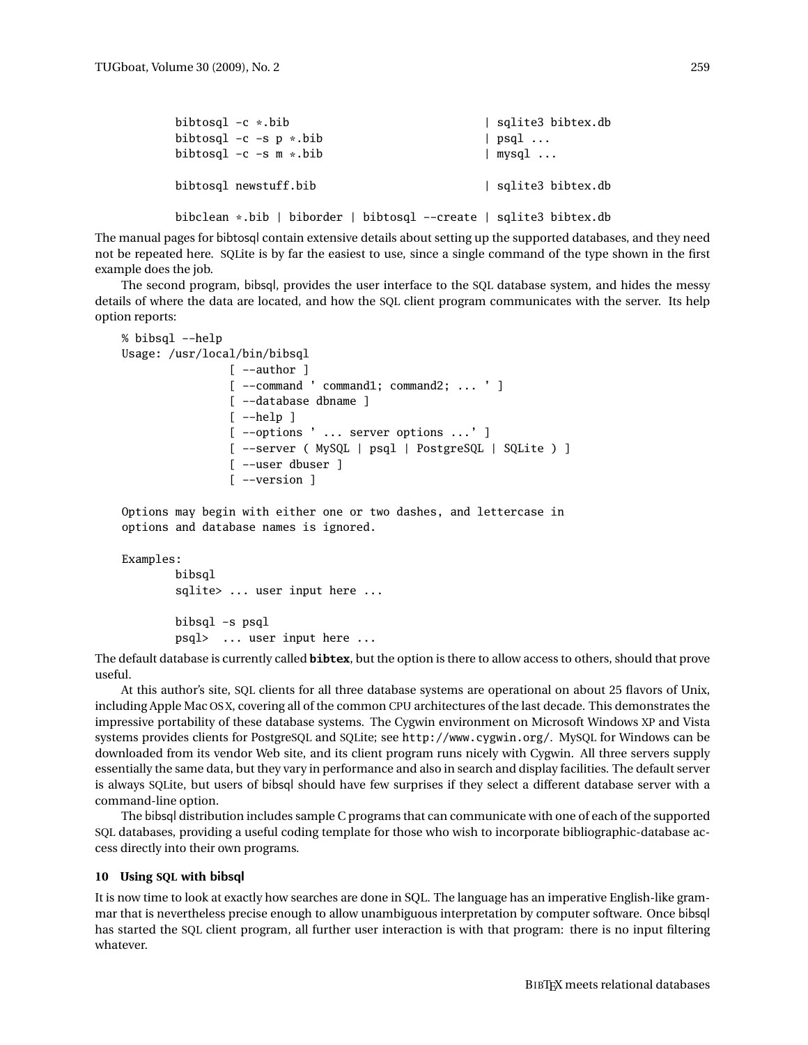| bibtosql $-c$ *.bib<br>bibtosql $-c$ $-s$ $p *$ bib<br>bibtosql $-c$ $-s$ $m *$ .bib | sqlite3 bibtex.db<br>$\vert$ psql $\ldots$<br>$\vert$ mysql $\ldots$ |
|--------------------------------------------------------------------------------------|----------------------------------------------------------------------|
| bibtosgl newstuff.bib                                                                | sqlite3 bibtex.db                                                    |
| bibclean *.bib   biborder   bibtosql --create   sqlite3 bibtex.db                    |                                                                      |

The manual pages for bibtosql contain extensive details about setting up the supported databases, and they need not be repeated here. SQLite is by far the easiest to use, since a single command of the type shown in the first example does the job.

The second program, bibsql, provides the user interface to the SQL database system, and hides the messy details of where the data are located, and how the SQL client program communicates with the server. Its help option reports:

```
% bibsql --help
Usage: /usr/local/bin/bibsql
                 [ --author ]
                 [ --command ' command1; command2; ... ' ]
                 [ --database dbname ]
                 \lceil -\text{help } \rceil[ --options ' ... server options ...' ]
                 [ --server ( MySQL | psql | PostgreSQL | SQLite ) ]
                 [ --user dbuser ]
                 [ --version ]
```
Options may begin with either one or two dashes, and lettercase in options and database names is ignored.

### Examples:

bibsql sqlite> ... user input here ...

bibsql -s psql psql> ... user input here ...

The default database is currently called **bibtex**, but the option is there to allow access to others, should that prove useful.

At this author's site, SQL clients for all three database systems are operational on about 25 flavors of Unix, including Apple Mac OS X, covering all of the common CPU architectures of the last decade. This demonstrates the impressive portability of these database systems. The Cygwin environment on Microsoft Windows XP and Vista systems provides clients for PostgreSQL and SQLite; see http://www.cygwin.org/. MySQL for Windows can be downloaded from its vendor Web site, and its client program runs nicely with Cygwin. All three servers supply essentially the same data, but they vary in performance and also in search and display facilities. The default server is always SQLite, but users of bibsql should have few surprises if they select a different database server with a command-line option.

The bibsql distribution includes sample C programs that can communicate with one of each of the supported SQL databases, providing a useful coding template for those who wish to incorporate bibliographic-database access directly into their own programs.

#### **10 Using SQL with** bibsql

It is now time to look at exactly how searches are done in SQL. The language has an imperative English-like grammar that is nevertheless precise enough to allow unambiguous interpretation by computer software. Once bibsql has started the SQL client program, all further user interaction is with that program: there is no input filtering whatever.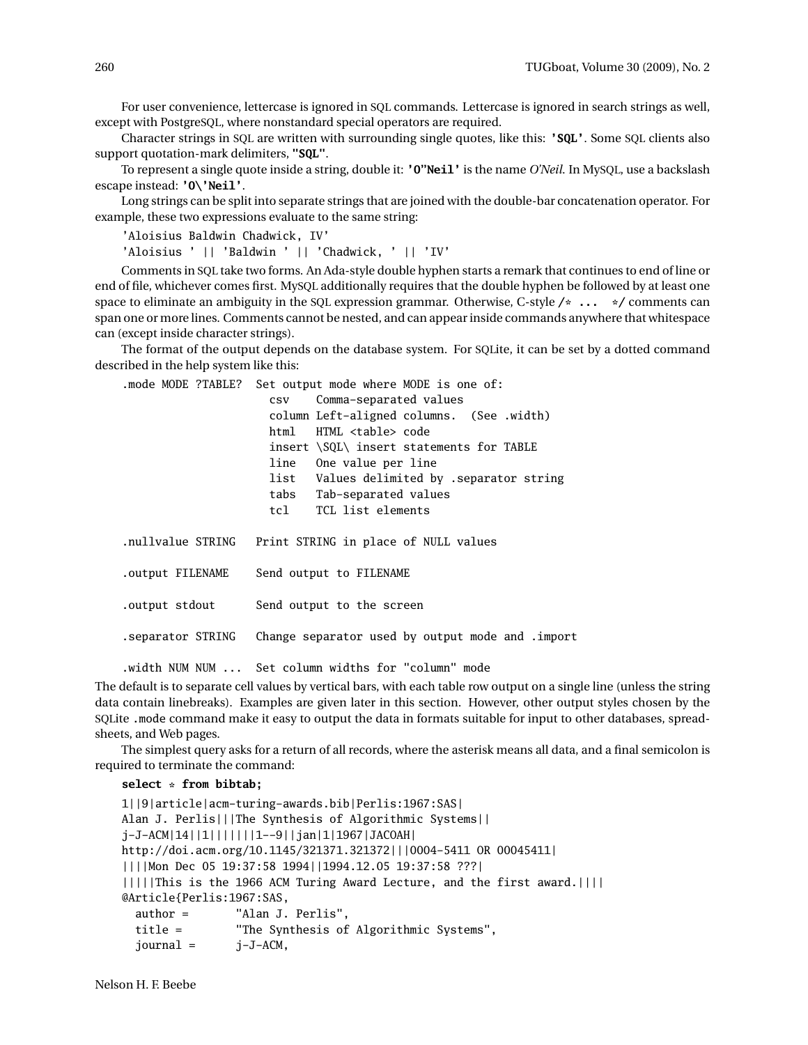For user convenience, lettercase is ignored in SQL commands. Lettercase is ignored in search strings as well, except with PostgreSQL, where nonstandard special operators are required.

Character strings in SQL are written with surrounding single quotes, like this: **'SQL'**. Some SQL clients also support quotation-mark delimiters, **"SQL"**.

To represent a single quote inside a string, double it: **'O"Neil'** is the name *O'Neil*. In MySQL, use a backslash escape instead: **'O\'Neil'**.

Long strings can be split into separate strings that are joined with the double-bar concatenation operator. For example, these two expressions evaluate to the same string:

'Aloisius Baldwin Chadwick, IV'

'Aloisius ' || 'Baldwin ' || 'Chadwick, ' || 'IV'

Comments in SQL take two forms. An Ada-style double hyphen starts a remark that continues to end of line or end of file, whichever comes first. MySQL additionally requires that the double hyphen be followed by at least one space to eliminate an ambiguity in the SQL expression grammar. Otherwise, C-style **/\* ... \*/** comments can span one or more lines. Comments cannot be nested, and can appear inside commands anywhere that whitespace can (except inside character strings).

The format of the output depends on the database system. For SQLite, it can be set by a dotted command described in the help system like this:

.mode MODE ?TABLE? Set output mode where MODE is one of:

|                   | Comma-separated values<br>$\cos v$                  |  |
|-------------------|-----------------------------------------------------|--|
|                   | column Left-aligned columns. (See .width)           |  |
|                   | html HTML <table> code</table>                      |  |
|                   | insert \SQL\ insert statements for TABLE            |  |
|                   | line One value per line                             |  |
|                   | list Values delimited by .separator string          |  |
|                   | tabs Tab-separated values                           |  |
|                   | tcl TCL list elements                               |  |
| nullvalue STRING. | Print STRING in place of NULL values                |  |
| output FILENAME.  | Send output to FILENAME                             |  |
| output stdout.    | Send output to the screen                           |  |
| separator STRING. | Change separator used by output mode and .import    |  |
|                   | .width NUM NUM  Set column widths for "column" mode |  |

The default is to separate cell values by vertical bars, with each table row output on a single line (unless the string data contain linebreaks). Examples are given later in this section. However, other output styles chosen by the SQLite .mode command make it easy to output the data in formats suitable for input to other databases, spreadsheets, and Web pages.

The simplest query asks for a return of all records, where the asterisk means all data, and a final semicolon is required to terminate the command:

### **select \* from bibtab;**

```
1||9|article|acm-turing-awards.bib|Perlis:1967:SAS|
Alan J. Perlis|||The Synthesis of Algorithmic Systems||
j-J-ACM|14||1|||||||1--9||jan|1|1967|JACOAH|
http://doi.acm.org/10.1145/321371.321372|||0004-5411 OR 00045411|
||||Mon Dec 05 19:37:58 1994||1994.12.05 19:37:58 ???|
|||||This is the 1966 ACM Turing Award Lecture, and the first award.||||
@Article{Perlis:1967:SAS,
  author = "Alan J. Perlis",
  title = "The Synthesis of Algorithmic Systems",
  journal = j-J-ACM,
```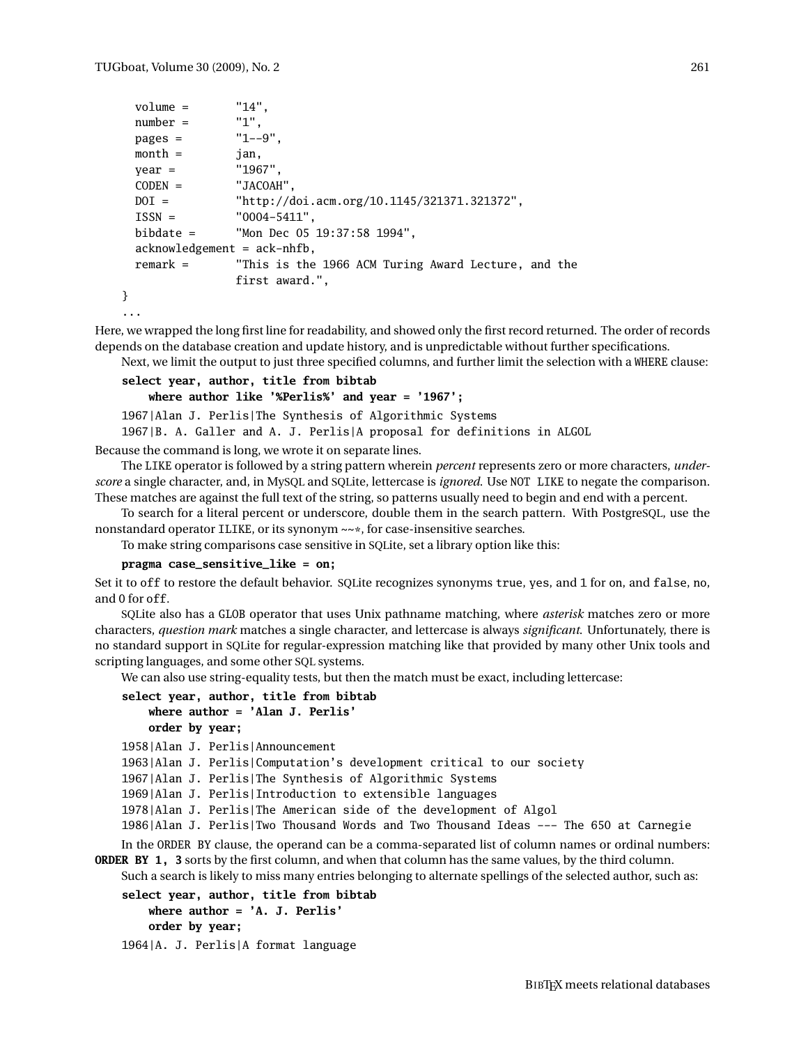```
volume = "14",number = 1",
 pages = "1--9",month = jan,
 year = "1967",
 CODEN = "JACOAH",
 DOI = "http://doi.acm.org/10.1145/321371.321372",
 ISSN = "0004-5411",
 bibdate = "Mon Dec 05 19:37:58 1994",
 acknowledgement = ack-nhfb,
 remark = "This is the 1966 ACM Turing Award Lecture, and the
             first award.",
}
```

```
...
```
Here, we wrapped the long first line for readability, and showed only the first record returned. The order of records depends on the database creation and update history, and is unpredictable without further specifications.

Next, we limit the output to just three specified columns, and further limit the selection with a WHERE clause:

```
select year, author, title from bibtab
    where author like '%Perlis%' and year = '1967';
1967|Alan J. Perlis|The Synthesis of Algorithmic Systems
1967|B. A. Galler and A. J. Perlis|A proposal for definitions in ALGOL
```
Because the command is long, we wrote it on separate lines.

The LIKE operator is followed by a string pattern wherein *percent* represents zero or more characters, *underscore* a single character, and, in MySQL and SQLite, lettercase is *ignored*. Use NOT LIKE to negate the comparison. These matches are against the full text of the string, so patterns usually need to begin and end with a percent.

To search for a literal percent or underscore, double them in the search pattern. With PostgreSQL, use the nonstandard operator ILIKE, or its synonym ~~\*, for case-insensitive searches.

To make string comparisons case sensitive in SQLite, set a library option like this:

#### **pragma case\_sensitive\_like = on;**

Set it to off to restore the default behavior. SQLite recognizes synonyms true, yes, and 1 for on, and false, no, and 0 for off.

SQLite also has a GLOB operator that uses Unix pathname matching, where *asterisk* matches zero or more characters, *question mark* matches a single character, and lettercase is always *significant*. Unfortunately, there is no standard support in SQLite for regular-expression matching like that provided by many other Unix tools and scripting languages, and some other SQL systems.

We can also use string-equality tests, but then the match must be exact, including lettercase:

```
select year, author, title from bibtab
    where author = 'Alan J. Perlis'
    order by year;
```

```
1958|Alan J. Perlis|Announcement
```
1963|Alan J. Perlis|Computation's development critical to our society

1967|Alan J. Perlis|The Synthesis of Algorithmic Systems

1969|Alan J. Perlis|Introduction to extensible languages

1978|Alan J. Perlis|The American side of the development of Algol

1986|Alan J. Perlis|Two Thousand Words and Two Thousand Ideas --- The 650 at Carnegie

In the ORDER BY clause, the operand can be a comma-separated list of column names or ordinal numbers: **ORDER BY 1, 3** sorts by the first column, and when that column has the same values, by the third column.

Such a search is likely to miss many entries belonging to alternate spellings of the selected author, such as:

```
select year, author, title from bibtab
    where author = 'A. J. Perlis'
    order by year;
```
1964|A. J. Perlis|A format language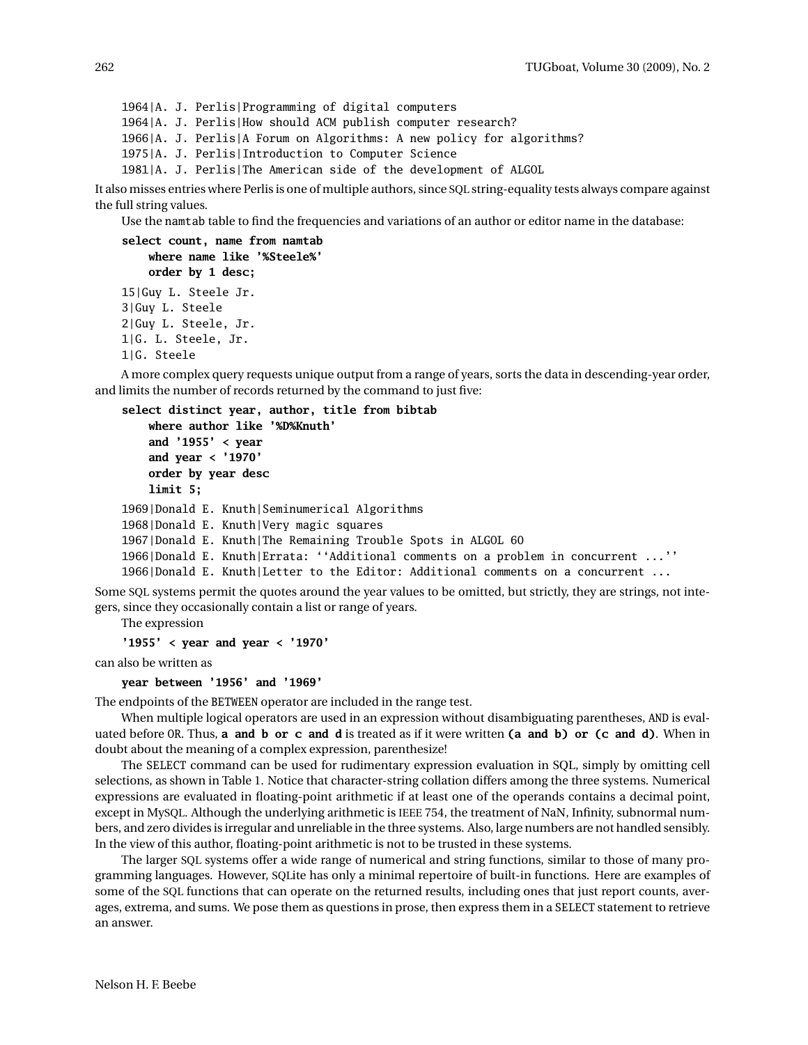1964|A. J. Perlis|Programming of digital computers 1964|A. J. Perlis|How should ACM publish computer research? 1966|A. J. Perlis|A Forum on Algorithms: A new policy for algorithms? 1975|A. J. Perlis|Introduction to Computer Science 1981|A. J. Perlis|The American side of the development of ALGOL

It also misses entries where Perlis is one of multiple authors, since SQL string-equality tests always compare against the full string values.

Use the namtab table to find the frequencies and variations of an author or editor name in the database:

```
select count, name from namtab
    where name like '%Steele%'
    order by 1 desc;
15|Guy L. Steele Jr.
3|Guy L. Steele
2|Guy L. Steele, Jr.
1|G. L. Steele, Jr.
```
1|G. Steele

A more complex query requests unique output from a range of years, sorts the data in descending-year order, and limits the number of records returned by the command to just five:

```
select distinct year, author, title from bibtab
    where author like '%D%Knuth'
    and '1955' < year
    and year < '1970'
    order by year desc
    limit 5;
1969|Donald E. Knuth|Seminumerical Algorithms
1968|Donald E. Knuth|Very magic squares
1967|Donald E. Knuth|The Remaining Trouble Spots in ALGOL 60
1966|Donald E. Knuth|Errata: ''Additional comments on a problem in concurrent ...''
1966|Donald E. Knuth|Letter to the Editor: Additional comments on a concurrent ...
```
Some SQL systems permit the quotes around the year values to be omitted, but strictly, they are strings, not integers, since they occasionally contain a list or range of years.

The expression

```
'1955' < year and year < '1970'
```
can also be written as

```
year between '1956' and '1969'
```
The endpoints of the BETWEEN operator are included in the range test.

When multiple logical operators are used in an expression without disambiguating parentheses, AND is evaluated before OR. Thus, **a and b or c and d** is treated as if it were written **(a and b) or (c and d)**. When in doubt about the meaning of a complex expression, parenthesize!

The SELECT command can be used for rudimentary expression evaluation in SQL, simply by omitting cell selections, as shown in Table 1. Notice that character-string collation differs among the three systems. Numerical expressions are evaluated in floating-point arithmetic if at least one of the operands contains a decimal point, except in MySQL. Although the underlying arithmetic is IEEE 754, the treatment of NaN, Infinity, subnormal numbers, and zero divides is irregular and unreliable in the three systems. Also, large numbers are not handled sensibly. In the view of this author, floating-point arithmetic is not to be trusted in these systems.

The larger SQL systems offer a wide range of numerical and string functions, similar to those of many programming languages. However, SQLite has only a minimal repertoire of built-in functions. Here are examples of some of the SQL functions that can operate on the returned results, including ones that just report counts, averages, extrema, and sums. We pose them as questions in prose, then express them in a SELECT statement to retrieve an answer.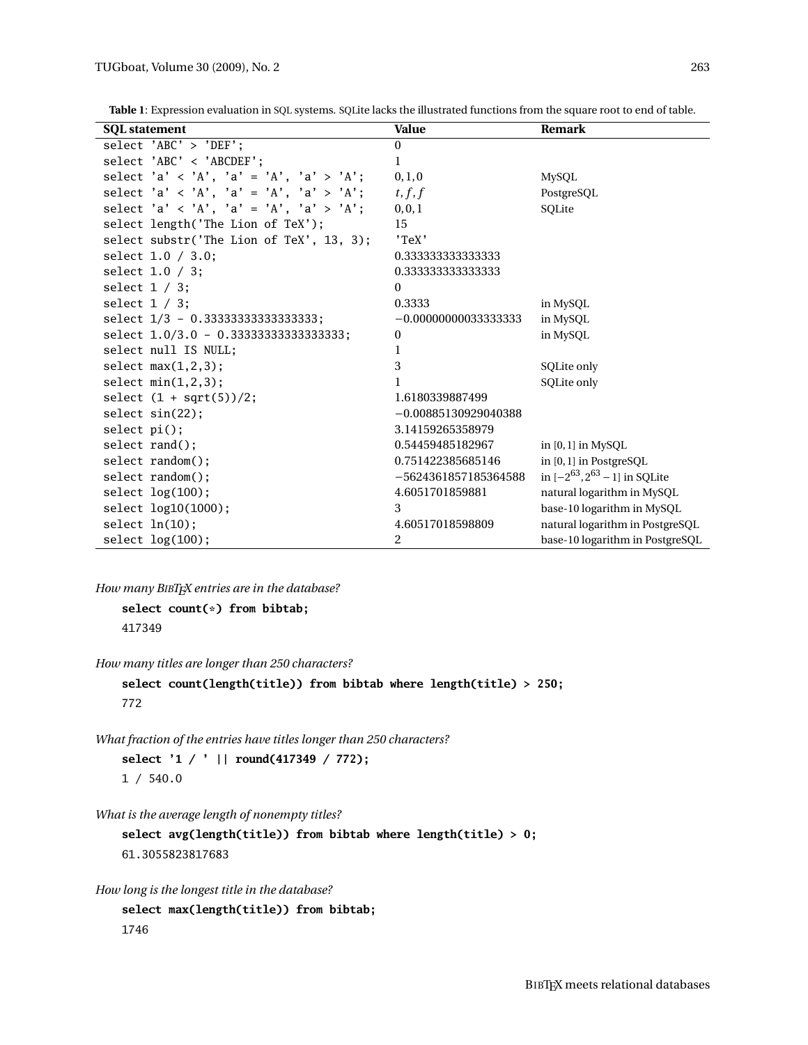**Table 1**: Expression evaluation in SQL systems. SQLite lacks the illustrated functions from the square root to end of table.

| <b>SQL</b> statement                     | <b>Value</b>            | <b>Remark</b>                        |
|------------------------------------------|-------------------------|--------------------------------------|
| select 'ABC' > 'DEF';                    | $\mathbf{0}$            |                                      |
| $select$ 'ABC' < 'ABCDEF':               | $\mathbf{1}$            |                                      |
| select 'a' < 'A', 'a' = 'A', 'a' > 'A';  | 0, 1, 0                 | <b>MySQL</b>                         |
| select 'a' < 'A', 'a' = 'A', 'a' > 'A';  | t, f, f                 | PostgreSQL                           |
| select 'a' < 'A', 'a' = 'A', 'a' > 'A';  | 0, 0, 1                 | SQLite                               |
| select length('The Lion of TeX');        | 15                      |                                      |
| select substr('The Lion of TeX', 13, 3); | 'TeX'                   |                                      |
| select $1.0 / 3.0$ :                     | 0.333333333333333       |                                      |
| select $1.0 / 3$ ;                       | 0.3333333333333333      |                                      |
| select $1 / 3$ ;                         | $\theta$                |                                      |
| select $1 / 3$ :                         | 0.3333                  | in MySQL                             |
| select 1/3 - 0.3333333333333333333;      | $-0.000000000333333333$ | in MySQL                             |
| select 1.0/3.0 - 0.333333333333333333;   | $\bf{0}$                | in MySQL                             |
| select null IS NULL;                     | $\mathbf 1$             |                                      |
| select $max(1,2,3)$ ;                    | 3                       | SQLite only                          |
| select $min(1,2,3)$ ;                    | 1                       | SOLite only                          |
| select $(1 + sqrt(5))/2$ ;               | 1.6180339887499         |                                      |
| $select \sin(22)$ ;                      | $-0.00885130929040388$  |                                      |
| $select$ $pi()$ ;                        | 3.14159265358979        |                                      |
| select rand();                           | 0.54459485182967        | in $[0,1]$ in MySQL                  |
| select random();                         | 0.751422385685146       | in $[0,1]$ in PostgreSQL             |
| select random();                         | $-5624361857185364588$  | in $[-2^{63}, 2^{63} - 1]$ in SQLite |
| select $log(100)$ ;                      | 4.6051701859881         | natural logarithm in MySQL           |
| select log10(1000);                      | 3                       | base-10 logarithm in MySQL           |
| select $ln(10)$ :                        | 4.60517018598809        | natural logarithm in PostgreSQL      |
| select $log(100)$ ;                      | 2                       | base-10 logarithm in PostgreSQL      |

*How many BIBTEX entries are in the database?*

```
select count(*) from bibtab;
417349
```
*How many titles are longer than 250 characters?*

```
select count(length(title)) from bibtab where length(title) > 250;
772
```
*What fraction of the entries have titles longer than 250 characters?*

**select '1 / ' || round(417349 / 772);** 1 / 540.0

*What is the average length of nonempty titles?*

**select avg(length(title)) from bibtab where length(title) > 0;** 61.3055823817683

*How long is the longest title in the database?*

```
select max(length(title)) from bibtab;
1746
```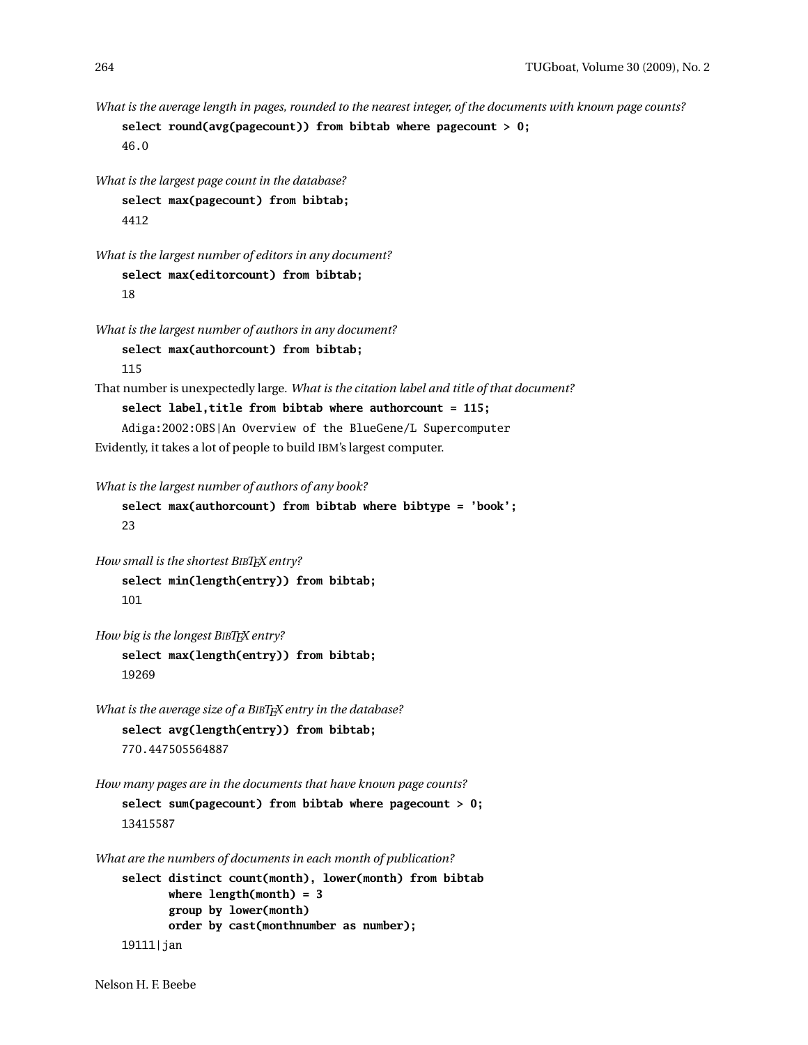*What is the average length in pages, rounded to the nearest integer, of the documents with known page counts?*

```
select round(avg(pagecount)) from bibtab where pagecount > 0;
46.0
```

```
What is the largest page count in the database?
    select max(pagecount) from bibtab;
    4412
```

```
What is the largest number of editors in any document?
    select max(editorcount) from bibtab;
    18
```

```
What is the largest number of authors in any document?
    select max(authorcount) from bibtab;
    115
```

```
That number is unexpectedly large. What is the citation label and title of that document?
    select label,title from bibtab where authorcount = 115;
    Adiga:2002:OBS|An Overview of the BlueGene/L Supercomputer
```

```
Evidently, it takes a lot of people to build IBM's largest computer.
```

```
What is the largest number of authors of any book?
```

```
select max(authorcount) from bibtab where bibtype = 'book';
23
```

```
How small is the shortest BIBTEX entry?
    select min(length(entry)) from bibtab;
    101
```

```
How big is the longest BIBTEX entry?
```

```
select max(length(entry)) from bibtab;
19269
```

```
What is the average size of a BIBTEX entry in the database?
    select avg(length(entry)) from bibtab;
    770.447505564887
```

```
How many pages are in the documents that have known page counts?
```

```
select sum(pagecount) from bibtab where pagecount > 0;
13415587
```
*What are the numbers of documents in each month of publication?*

```
select distinct count(month), lower(month) from bibtab
      where length(month) = 3
      group by lower(month)
      order by cast(monthnumber as number);
19111|jan
```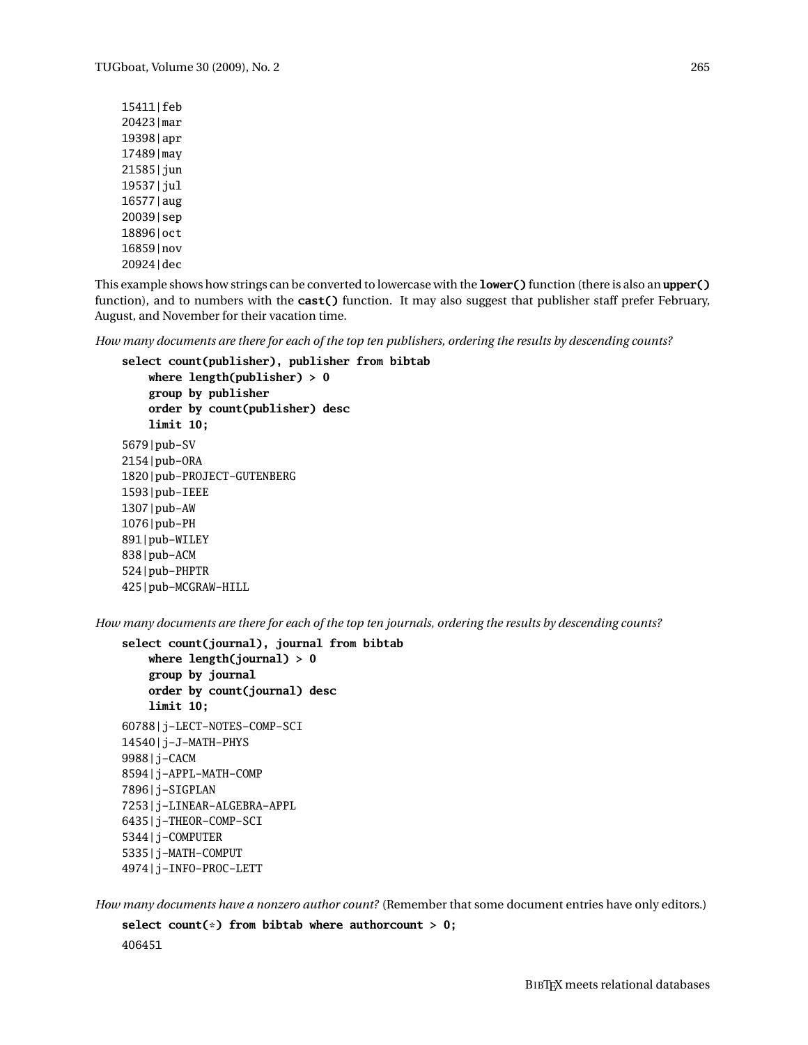15411|feb 20423|mar 19398|apr 17489|may 21585|jun 19537|jul 16577|aug 20039|sep 18896|oct 16859|nov 20924|dec

This example shows how strings can be converted to lowercase with the **lower()** function (there is also an **upper()** function), and to numbers with the **cast()** function. It may also suggest that publisher staff prefer February, August, and November for their vacation time.

*How many documents are there for each of the top ten publishers, ordering the results by descending counts?*

```
select count(publisher), publisher from bibtab
```

```
where length(publisher) > 0
    group by publisher
    order by count(publisher) desc
    limit 10;
5679|pub-SV
2154|pub-ORA
1820|pub-PROJECT-GUTENBERG
1593|pub-IEEE
1307|pub-AW
1076|pub-PH
891|pub-WILEY
838|pub-ACM
524|pub-PHPTR
425|pub-MCGRAW-HILL
```
*How many documents are there for each of the top ten journals, ordering the results by descending counts?*

```
select count(journal), journal from bibtab
    where length(journal) > 0
    group by journal
    order by count(journal) desc
    limit 10;
60788|j-LECT-NOTES-COMP-SCI
14540|j-J-MATH-PHYS
9988|j-CACM
8594|j-APPL-MATH-COMP
7896|j-SIGPLAN
7253|j-LINEAR-ALGEBRA-APPL
6435|j-THEOR-COMP-SCI
5344|j-COMPUTER
5335|j-MATH-COMPUT
4974|j-INFO-PROC-LETT
```
*How many documents have a nonzero author count?* (Remember that some document entries have only editors.)

**select count(\*) from bibtab where authorcount > 0;** 406451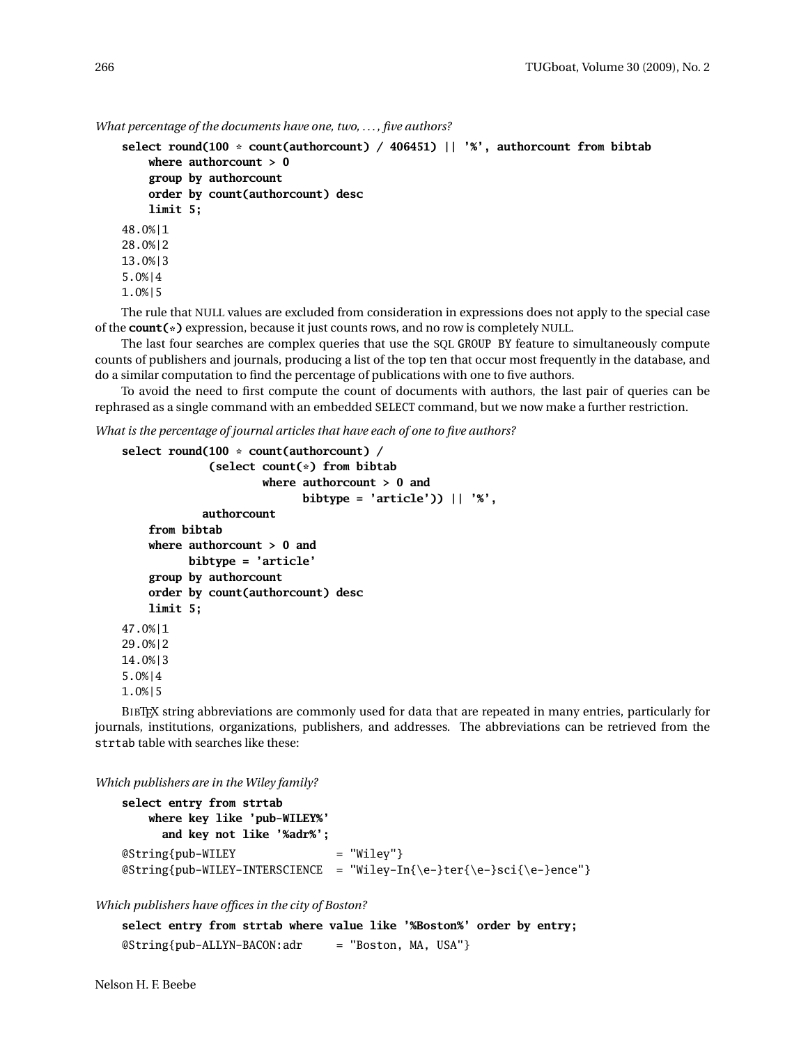```
What percentage of the documents have one, two, . . . , five authors?
```

```
select round(100 * count(authorcount) / 406451) || '%', authorcount from bibtab
    where authorcount > 0
    group by authorcount
    order by count(authorcount) desc
    limit 5;
48.0%|1
28.0%|2
13.0%|3
5.0%|4
1.0%|5
```
The rule that NULL values are excluded from consideration in expressions does not apply to the special case of the **count(\*)** expression, because it just counts rows, and no row is completely NULL.

The last four searches are complex queries that use the SQL GROUP BY feature to simultaneously compute counts of publishers and journals, producing a list of the top ten that occur most frequently in the database, and do a similar computation to find the percentage of publications with one to five authors.

To avoid the need to first compute the count of documents with authors, the last pair of queries can be rephrased as a single command with an embedded SELECT command, but we now make a further restriction.

*What is the percentage of journal articles that have each of one to five authors?*

```
select round(100 * count(authorcount) /
             (select count(*) from bibtab
                     where authorcount > 0 and
                           bibtype = 'article')) || '%',
            authorcount
    from bibtab
    where authorcount > 0 and
          bibtype = 'article'
    group by authorcount
    order by count(authorcount) desc
    limit 5;
47.0%|1
29.0%|2
14.0%|3
5.0%|4
1.0%|5
```
BIBTEX string abbreviations are commonly used for data that are repeated in many entries, particularly for journals, institutions, organizations, publishers, and addresses. The abbreviations can be retrieved from the strtab table with searches like these:

*Which publishers are in the Wiley family?*

```
select entry from strtab
   where key like 'pub-WILEY%'
     and key not like '%adr%';
@String{pub-WILEY} = "Wiley"@String{pub-WILEY-INTERSCIENCE = "Wiley-In{\e-}ter{\e-}sci{\e-}ence"}
```
*Which publishers have offices in the city of Boston?*

**select entry from strtab where value like '%Boston%' order by entry;**  $@String{pub-ALLYN-BACON:adr} = "Boston, MA, USA"$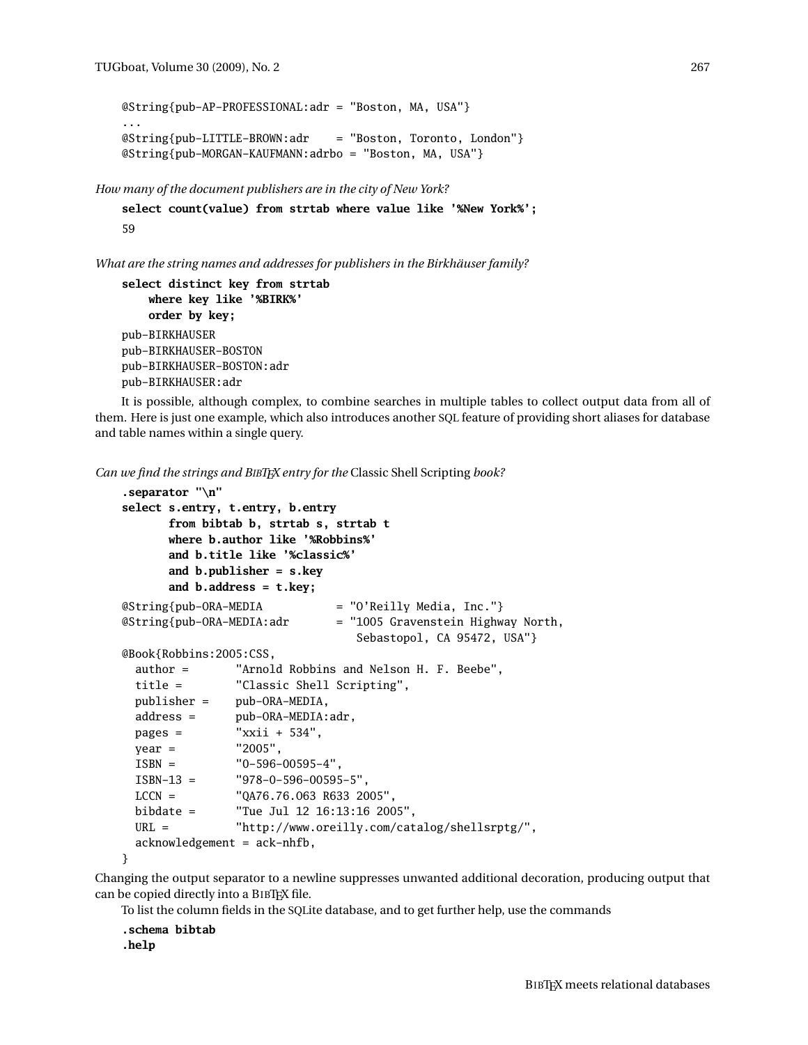```
@String{pub-AP-PROFESSIONAL:adr = "Boston, MA, USA"}
...
@String{pub-LITTLE-BROWN:adr = "Boston, Toronto, London"}
@String{pub-MORGAN-KAUFMANN:adrbo = "Boston, MA, USA"}
```
*How many of the document publishers are in the city of New York?*

```
select count(value) from strtab where value like '%New York%';
59
```
*What are the string names and addresses for publishers in the Birkhäuser family?*

```
select distinct key from strtab
    where key like '%BIRK%'
    order by key;
pub-BIRKHAUSER
pub-BIRKHAUSER-BOSTON
pub-BIRKHAUSER-BOSTON:adr
pub-BIRKHAUSER:adr
```
It is possible, although complex, to combine searches in multiple tables to collect output data from all of them. Here is just one example, which also introduces another SQL feature of providing short aliases for database and table names within a single query.

*Can we find the strings and BIBTEX entry for the* Classic Shell Scripting *book?*

```
.separator "\n"
select s.entry, t.entry, b.entry
      from bibtab b, strtab s, strtab t
      where b.author like '%Robbins%'
      and b.title like '%classic%'
      and b.publisher = s.key
      and b.address = t.key;
@String{pub-ORA-MEDIA = "O'Reilly Media, Inc."}
@String{pub-ORA-MEDIA:adr = "1005 Gravenstein Highway North,
                               Sebastopol, CA 95472, USA"}
@Book{Robbins:2005:CSS,
 author = "Arnold Robbins and Nelson H. F. Beebe",
 title = "Classic Shell Scripting",
 publisher = pub-ORA-MEDIA,
 address = pub-ORA-MEDIA:adr,
 pages = "xxii + 534",
 year = "2005",
 ISBN = "0-596-00595-4",
 ISBN-13 = "978-0-596-00595-5",
 LCCN = "QA76.76.O63 R633 2005",
 bibdate = "Tue Jul 12 16:13:16 2005",
 URL = "http://www.oreilly.com/catalog/shellsrptg/",
 acknowledgement = ack-nhfb,
}
```
Changing the output separator to a newline suppresses unwanted additional decoration, producing output that can be copied directly into a BIBT<sub>F</sub>X file.

To list the column fields in the SQLite database, and to get further help, use the commands

```
.schema bibtab
.help
```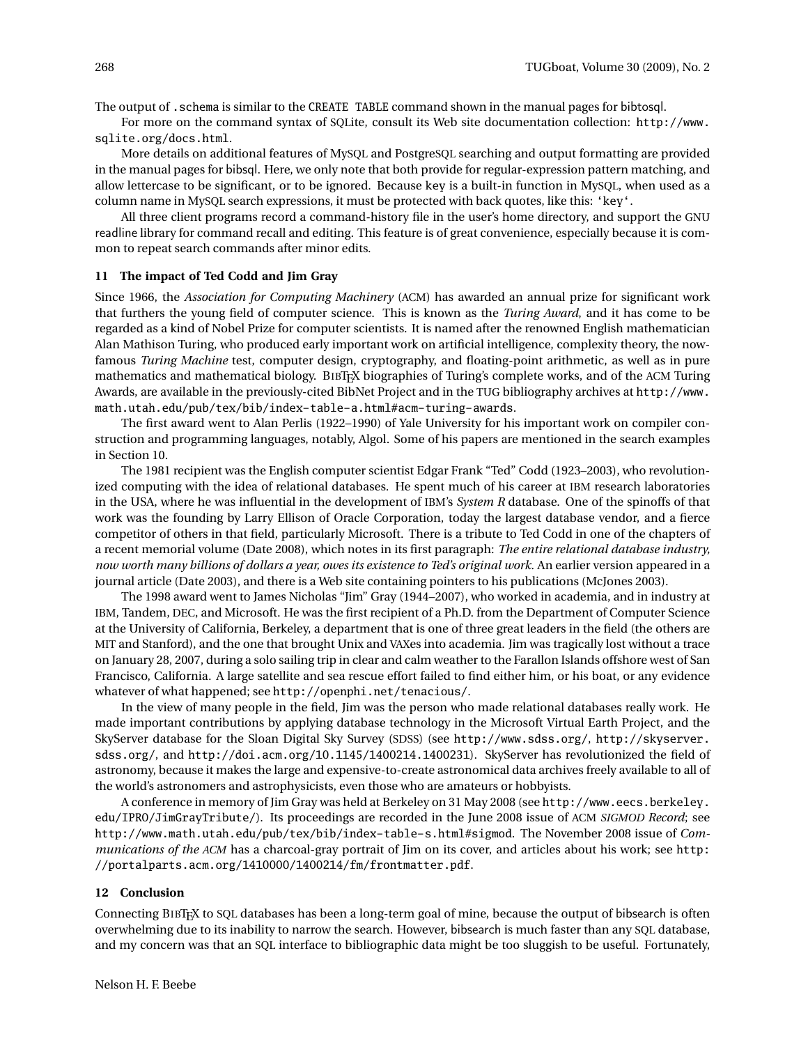The output of .schema is similar to the CREATE TABLE command shown in the manual pages for bibtosql.

For more on the command syntax of SQLite, consult its Web site documentation collection: http://www. sqlite.org/docs.html.

More details on additional features of MySQL and PostgreSQL searching and output formatting are provided in the manual pages for bibsql. Here, we only note that both provide for regular-expression pattern matching, and allow lettercase to be significant, or to be ignored. Because key is a built-in function in MySQL, when used as a column name in MySQL search expressions, it must be protected with back quotes, like this: 'key'.

All three client programs record a command-history file in the user's home directory, and support the GNU readline library for command recall and editing. This feature is of great convenience, especially because it is common to repeat search commands after minor edits.

#### **11 The impact of Ted Codd and Jim Gray**

Since 1966, the *Association for Computing Machinery* (ACM) has awarded an annual prize for significant work that furthers the young field of computer science. This is known as the *Turing Award*, and it has come to be regarded as a kind of Nobel Prize for computer scientists. It is named after the renowned English mathematician Alan Mathison Turing, who produced early important work on artificial intelligence, complexity theory, the nowfamous *Turing Machine* test, computer design, cryptography, and floating-point arithmetic, as well as in pure mathematics and mathematical biology. BIBTFX biographies of Turing's complete works, and of the ACM Turing Awards, are available in the previously-cited BibNet Project and in the TUG bibliography archives at http://www. math.utah.edu/pub/tex/bib/index-table-a.html#acm-turing-awards.

The first award went to Alan Perlis (1922–1990) of Yale University for his important work on compiler construction and programming languages, notably, Algol. Some of his papers are mentioned in the search examples in Section 10.

The 1981 recipient was the English computer scientist Edgar Frank "Ted" Codd (1923–2003), who revolutionized computing with the idea of relational databases. He spent much of his career at IBM research laboratories in the USA, where he was influential in the development of IBM's *System R* database. One of the spinoffs of that work was the founding by Larry Ellison of Oracle Corporation, today the largest database vendor, and a fierce competitor of others in that field, particularly Microsoft. There is a tribute to Ted Codd in one of the chapters of a recent memorial volume (Date 2008), which notes in its first paragraph: *The entire relational database industry, now worth many billions of dollars a year, owes its existence to Ted's original work.* An earlier version appeared in a journal article (Date 2003), and there is a Web site containing pointers to his publications (McJones 2003).

The 1998 award went to James Nicholas "Jim" Gray (1944–2007), who worked in academia, and in industry at IBM, Tandem, DEC, and Microsoft. He was the first recipient of a Ph.D. from the Department of Computer Science at the University of California, Berkeley, a department that is one of three great leaders in the field (the others are MIT and Stanford), and the one that brought Unix and VAXes into academia. Jim was tragically lost without a trace on January 28, 2007, during a solo sailing trip in clear and calm weather to the Farallon Islands offshore west of San Francisco, California. A large satellite and sea rescue effort failed to find either him, or his boat, or any evidence whatever of what happened; see http://openphi.net/tenacious/.

In the view of many people in the field, Jim was the person who made relational databases really work. He made important contributions by applying database technology in the Microsoft Virtual Earth Project, and the SkyServer database for the Sloan Digital Sky Survey (SDSS) (see http://www.sdss.org/, http://skyserver. sdss.org/, and http://doi.acm.org/10.1145/1400214.1400231). SkyServer has revolutionized the field of astronomy, because it makes the large and expensive-to-create astronomical data archives freely available to all of the world's astronomers and astrophysicists, even those who are amateurs or hobbyists.

A conference in memory of Jim Gray was held at Berkeley on 31 May 2008 (see http://www.eecs.berkeley. edu/IPRO/JimGrayTribute/). Its proceedings are recorded in the June 2008 issue of ACM *SIGMOD Record*; see http://www.math.utah.edu/pub/tex/bib/index-table-s.html#sigmod. The November 2008 issue of *Communications of the ACM* has a charcoal-gray portrait of Jim on its cover, and articles about his work; see http: //portalparts.acm.org/1410000/1400214/fm/frontmatter.pdf.

## **12 Conclusion**

Connecting BIBTEX to SQL databases has been a long-term goal of mine, because the output of bibsearch is often overwhelming due to its inability to narrow the search. However, bibsearch is much faster than any SQL database, and my concern was that an SQL interface to bibliographic data might be too sluggish to be useful. Fortunately,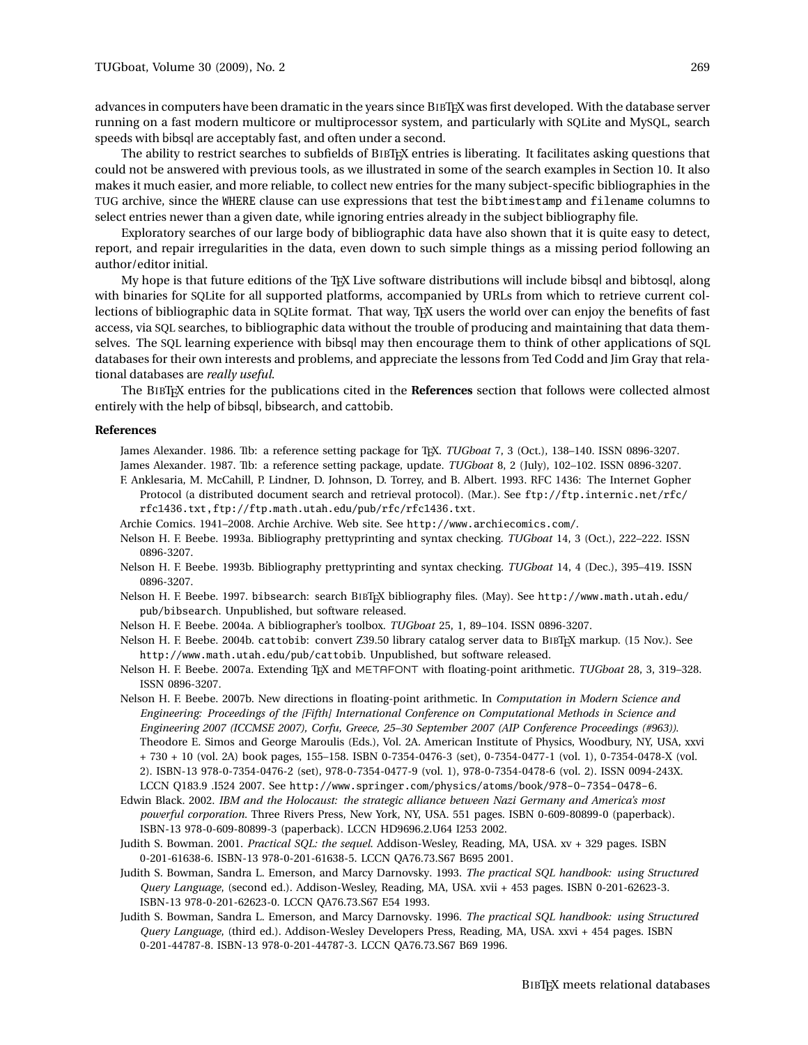advances in computers have been dramatic in the years since BIBTEX was first developed. With the database server running on a fast modern multicore or multiprocessor system, and particularly with SQLite and MySQL, search speeds with bibsql are acceptably fast, and often under a second.

The ability to restrict searches to subfields of BIBTEX entries is liberating. It facilitates asking questions that could not be answered with previous tools, as we illustrated in some of the search examples in Section 10. It also makes it much easier, and more reliable, to collect new entries for the many subject-specific bibliographies in the TUG archive, since the WHERE clause can use expressions that test the bibtimestamp and filename columns to select entries newer than a given date, while ignoring entries already in the subject bibliography file.

Exploratory searches of our large body of bibliographic data have also shown that it is quite easy to detect, report, and repair irregularities in the data, even down to such simple things as a missing period following an author/editor initial.

My hope is that future editions of the T<sub>EX</sub> Live software distributions will include bibsql and bibtosql, along with binaries for SQLite for all supported platforms, accompanied by URLs from which to retrieve current collections of bibliographic data in SQLite format. That way, TpX users the world over can enjoy the benefits of fast access, via SQL searches, to bibliographic data without the trouble of producing and maintaining that data themselves. The SQL learning experience with bibsql may then encourage them to think of other applications of SQL databases for their own interests and problems, and appreciate the lessons from Ted Codd and Jim Gray that relational databases are *really useful*.

The BIBTEX entries for the publications cited in the **References** section that follows were collected almost entirely with the help of bibsql, bibsearch, and cattobib.

#### **References**

James Alexander. 1986. TIb: a reference setting package for TEX. *TUGboat* 7, 3 (Oct.), 138–140. ISSN 0896-3207. James Alexander. 1987. TIb: a reference setting package, update. *TUGboat* 8, 2 (July), 102–102. ISSN 0896-3207.

- F. Anklesaria, M. McCahill, P. Lindner, D. Johnson, D. Torrey, and B. Albert. 1993. RFC 1436: The Internet Gopher Protocol (a distributed document search and retrieval protocol). (Mar.). See ftp://ftp.internic.net/rfc/ rfc1436.txt,ftp://ftp.math.utah.edu/pub/rfc/rfc1436.txt.
- Archie Comics. 1941–2008. Archie Archive. Web site. See http://www.archiecomics.com/.
- Nelson H. F. Beebe. 1993a. Bibliography prettyprinting and syntax checking. *TUGboat* 14, 3 (Oct.), 222–222. ISSN 0896-3207.
- Nelson H. F. Beebe. 1993b. Bibliography prettyprinting and syntax checking. *TUGboat* 14, 4 (Dec.), 395–419. ISSN 0896-3207.
- Nelson H. F. Beebe. 1997. bibsearch: search BIBTEX bibliography files. (May). See http://www.math.utah.edu/ pub/bibsearch. Unpublished, but software released.
- Nelson H. F. Beebe. 2004a. A bibliographer's toolbox. *TUGboat* 25, 1, 89–104. ISSN 0896-3207.
- Nelson H. F. Beebe. 2004b. cattobib: convert Z39.50 library catalog server data to BIBTEX markup. (15 Nov.). See http://www.math.utah.edu/pub/cattobib. Unpublished, but software released.
- Nelson H. F. Beebe. 2007a. Extending TEX and METAFONT with floating-point arithmetic. *TUGboat* 28, 3, 319–328. ISSN 0896-3207.
- Nelson H. F. Beebe. 2007b. New directions in floating-point arithmetic. In *Computation in Modern Science and Engineering: Proceedings of the [Fifth] International Conference on Computational Methods in Science and Engineering 2007 (ICCMSE 2007), Corfu, Greece, 25–30 September 2007 (AIP Conference Proceedings (#963))*. Theodore E. Simos and George Maroulis (Eds.), Vol. 2A. American Institute of Physics, Woodbury, NY, USA, xxvi + 730 + 10 (vol. 2A) book pages, 155–158. ISBN 0-7354-0476-3 (set), 0-7354-0477-1 (vol. 1), 0-7354-0478-X (vol. 2). ISBN-13 978-0-7354-0476-2 (set), 978-0-7354-0477-9 (vol. 1), 978-0-7354-0478-6 (vol. 2). ISSN 0094-243X. LCCN Q183.9 .I524 2007. See http://www.springer.com/physics/atoms/book/978-0-7354-0478-6.
- Edwin Black. 2002. *IBM and the Holocaust: the strategic alliance between Nazi Germany and America's most powerful corporation*. Three Rivers Press, New York, NY, USA. 551 pages. ISBN 0-609-80899-0 (paperback). ISBN-13 978-0-609-80899-3 (paperback). LCCN HD9696.2.U64 I253 2002.
- Judith S. Bowman. 2001. *Practical SQL: the sequel*. Addison-Wesley, Reading, MA, USA. xv + 329 pages. ISBN 0-201-61638-6. ISBN-13 978-0-201-61638-5. LCCN QA76.73.S67 B695 2001.
- Judith S. Bowman, Sandra L. Emerson, and Marcy Darnovsky. 1993. *The practical SQL handbook: using Structured Query Language*, (second ed.). Addison-Wesley, Reading, MA, USA. xvii + 453 pages. ISBN 0-201-62623-3. ISBN-13 978-0-201-62623-0. LCCN QA76.73.S67 E54 1993.
- Judith S. Bowman, Sandra L. Emerson, and Marcy Darnovsky. 1996. *The practical SQL handbook: using Structured Query Language*, (third ed.). Addison-Wesley Developers Press, Reading, MA, USA. xxvi + 454 pages. ISBN 0-201-44787-8. ISBN-13 978-0-201-44787-3. LCCN QA76.73.S67 B69 1996.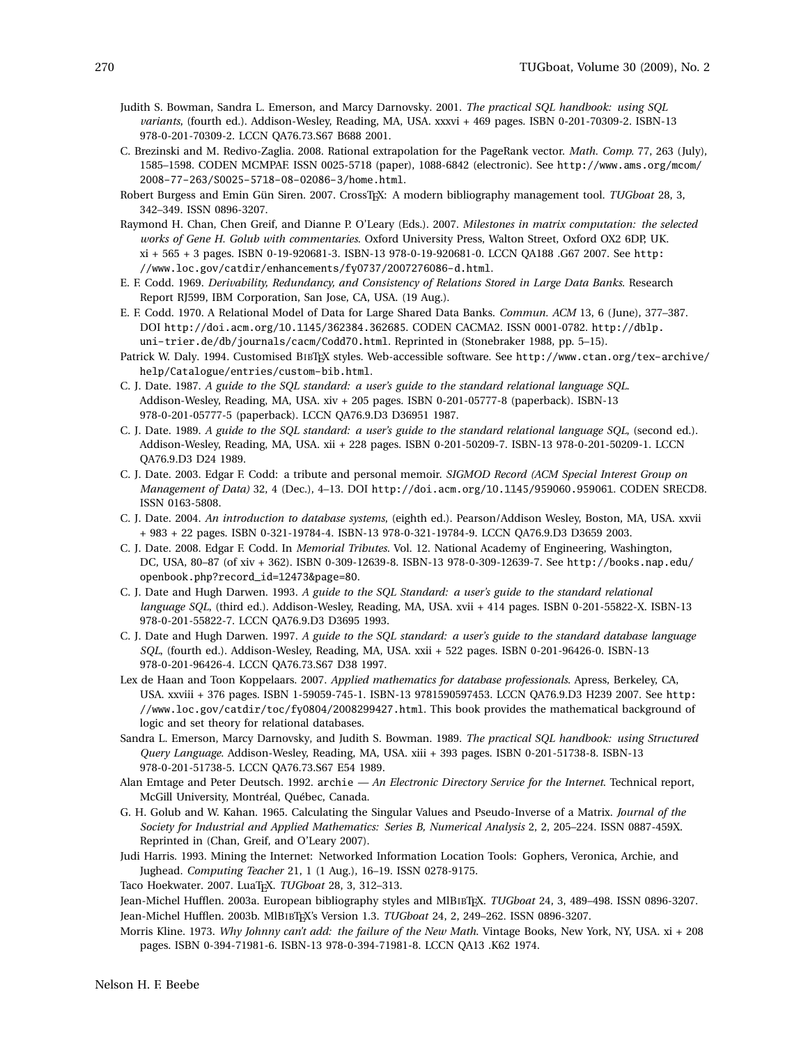- Judith S. Bowman, Sandra L. Emerson, and Marcy Darnovsky. 2001. *The practical SQL handbook: using SQL variants*, (fourth ed.). Addison-Wesley, Reading, MA, USA. xxxvi + 469 pages. ISBN 0-201-70309-2. ISBN-13 978-0-201-70309-2. LCCN QA76.73.S67 B688 2001.
- C. Brezinski and M. Redivo-Zaglia. 2008. Rational extrapolation for the PageRank vector. *Math. Comp.* 77, 263 (July), 1585–1598. CODEN MCMPAF. ISSN 0025-5718 (paper), 1088-6842 (electronic). See http://www.ams.org/mcom/ 2008-77-263/S0025-5718-08-02086-3/home.html.
- Robert Burgess and Emin Gün Siren. 2007. CrossTEX: A modern bibliography management tool. *TUGboat* 28, 3, 342–349. ISSN 0896-3207.
- Raymond H. Chan, Chen Greif, and Dianne P. O'Leary (Eds.). 2007. *Milestones in matrix computation: the selected works of Gene H. Golub with commentaries*. Oxford University Press, Walton Street, Oxford OX2 6DP, UK. xi + 565 + 3 pages. ISBN 0-19-920681-3. ISBN-13 978-0-19-920681-0. LCCN QA188 .G67 2007. See http: //www.loc.gov/catdir/enhancements/fy0737/2007276086-d.html.
- E. F. Codd. 1969. *Derivability, Redundancy, and Consistency of Relations Stored in Large Data Banks*. Research Report RJ599, IBM Corporation, San Jose, CA, USA. (19 Aug.).
- E. F. Codd. 1970. A Relational Model of Data for Large Shared Data Banks. *Commun. ACM* 13, 6 (June), 377–387. DOI http://doi.acm.org/10.1145/362384.362685. CODEN CACMA2. ISSN 0001-0782. http://dblp. uni-trier.de/db/journals/cacm/Codd70.html. Reprinted in (Stonebraker 1988, pp. 5–15).
- Patrick W. Daly. 1994. Customised BIBTEX styles. Web-accessible software. See http://www.ctan.org/tex-archive/ help/Catalogue/entries/custom-bib.html.
- C. J. Date. 1987. *A guide to the SQL standard: a user's guide to the standard relational language SQL*. Addison-Wesley, Reading, MA, USA. xiv + 205 pages. ISBN 0-201-05777-8 (paperback). ISBN-13 978-0-201-05777-5 (paperback). LCCN QA76.9.D3 D36951 1987.
- C. J. Date. 1989. *A guide to the SQL standard: a user's guide to the standard relational language SQL*, (second ed.). Addison-Wesley, Reading, MA, USA. xii + 228 pages. ISBN 0-201-50209-7. ISBN-13 978-0-201-50209-1. LCCN QA76.9.D3 D24 1989.
- C. J. Date. 2003. Edgar F. Codd: a tribute and personal memoir. *SIGMOD Record (ACM Special Interest Group on Management of Data)* 32, 4 (Dec.), 4–13. DOI http://doi.acm.org/10.1145/959060.959061. CODEN SRECD8. ISSN 0163-5808.
- C. J. Date. 2004. *An introduction to database systems*, (eighth ed.). Pearson/Addison Wesley, Boston, MA, USA. xxvii + 983 + 22 pages. ISBN 0-321-19784-4. ISBN-13 978-0-321-19784-9. LCCN QA76.9.D3 D3659 2003.
- C. J. Date. 2008. Edgar F. Codd. In *Memorial Tributes*. Vol. 12. National Academy of Engineering, Washington, DC, USA, 80–87 (of xiv + 362). ISBN 0-309-12639-8. ISBN-13 978-0-309-12639-7. See http://books.nap.edu/ openbook.php?record\_id=12473&page=80.
- C. J. Date and Hugh Darwen. 1993. *A guide to the SQL Standard: a user's guide to the standard relational language SQL*, (third ed.). Addison-Wesley, Reading, MA, USA. xvii + 414 pages. ISBN 0-201-55822-X. ISBN-13 978-0-201-55822-7. LCCN QA76.9.D3 D3695 1993.
- C. J. Date and Hugh Darwen. 1997. *A guide to the SQL standard: a user's guide to the standard database language SQL*, (fourth ed.). Addison-Wesley, Reading, MA, USA. xxii + 522 pages. ISBN 0-201-96426-0. ISBN-13 978-0-201-96426-4. LCCN QA76.73.S67 D38 1997.
- Lex de Haan and Toon Koppelaars. 2007. *Applied mathematics for database professionals*. Apress, Berkeley, CA, USA. xxviii + 376 pages. ISBN 1-59059-745-1. ISBN-13 9781590597453. LCCN QA76.9.D3 H239 2007. See http: //www.loc.gov/catdir/toc/fy0804/2008299427.html. This book provides the mathematical background of logic and set theory for relational databases.
- Sandra L. Emerson, Marcy Darnovsky, and Judith S. Bowman. 1989. *The practical SQL handbook: using Structured Query Language*. Addison-Wesley, Reading, MA, USA. xiii + 393 pages. ISBN 0-201-51738-8. ISBN-13 978-0-201-51738-5. LCCN QA76.73.S67 E54 1989.
- Alan Emtage and Peter Deutsch. 1992. archie  *An Electronic Directory Service for the Internet*. Technical report, McGill University, Montréal, Québec, Canada.
- G. H. Golub and W. Kahan. 1965. Calculating the Singular Values and Pseudo-Inverse of a Matrix. *Journal of the Society for Industrial and Applied Mathematics: Series B, Numerical Analysis* 2, 2, 205–224. ISSN 0887-459X. Reprinted in (Chan, Greif, and O'Leary 2007).
- Judi Harris. 1993. Mining the Internet: Networked Information Location Tools: Gophers, Veronica, Archie, and Jughead. *Computing Teacher* 21, 1 (1 Aug.), 16–19. ISSN 0278-9175.
- Taco Hoekwater. 2007. LuaTEX. *TUGboat* 28, 3, 312–313.
- Jean-Michel Hufflen. 2003a. European bibliography styles and MlBIBTEX. *TUGboat* 24, 3, 489–498. ISSN 0896-3207. Jean-Michel Hufflen. 2003b. MlBIBTEX's Version 1.3. *TUGboat* 24, 2, 249–262. ISSN 0896-3207.
- Morris Kline. 1973. *Why Johnny can't add: the failure of the New Math*. Vintage Books, New York, NY, USA. xi + 208 pages. ISBN 0-394-71981-6. ISBN-13 978-0-394-71981-8. LCCN QA13 .K62 1974.